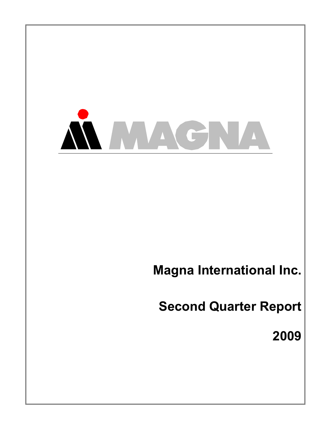

**Magna International Inc.** 

**Second Quarter Report** 

**2009**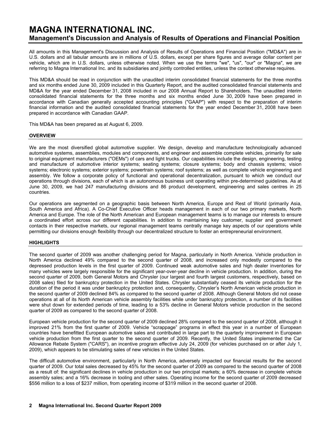# **MAGNA INTERNATIONAL INC. Management's Discussion and Analysis of Results of Operations and Financial Position**

All amounts in this Management's Discussion and Analysis of Results of Operations and Financial Position ("MD&A") are in U.S. dollars and all tabular amounts are in millions of U.S. dollars, except per share figures and average dollar content per vehicle, which are in U.S. dollars, unless otherwise noted. When we use the terms "we", "us", "our" or "Magna", we are referring to Magna International Inc. and its subsidiaries and jointly controlled entities, unless the context otherwise requires.

This MD&A should be read in conjunction with the unaudited interim consolidated financial statements for the three months and six months ended June 30, 2009 included in this Quarterly Report, and the audited consolidated financial statements and MD&A for the year ended December 31, 2008 included in our 2008 Annual Report to Shareholders. The unaudited interim consolidated financial statements for the three months and six months ended June 30, 2009 have been prepared in accordance with Canadian generally accepted accounting principles ("GAAP") with respect to the preparation of interim financial information and the audited consolidated financial statements for the year ended December 31, 2008 have been prepared in accordance with Canadian GAAP.

This MD&A has been prepared as at August 6, 2009.

### **OVERVIEW**

We are the most diversified global automotive supplier. We design, develop and manufacture technologically advanced automotive systems, assemblies, modules and components, and engineer and assemble complete vehicles, primarily for sale to original equipment manufacturers ("OEMs") of cars and light trucks. Our capabilities include the design, engineering, testing and manufacture of automotive interior systems; seating systems; closure systems; body and chassis systems; vision systems; electronic systems; exterior systems; powertrain systems; roof systems; as well as complete vehicle engineering and assembly. We follow a corporate policy of functional and operational decentralization, pursuant to which we conduct our operations through divisions, each of which is an autonomous business unit operating within pre-determined guidelines. As at June 30, 2009, we had 247 manufacturing divisions and 86 product development, engineering and sales centres in 25 countries.

Our operations are segmented on a geographic basis between North America, Europe and Rest of World (primarily Asia, South America and Africa). A Co-Chief Executive Officer heads management in each of our two primary markets, North America and Europe. The role of the North American and European management teams is to manage our interests to ensure a coordinated effort across our different capabilities. In addition to maintaining key customer, supplier and government contacts in their respective markets, our regional management teams centrally manage key aspects of our operations while permitting our divisions enough flexibility through our decentralized structure to foster an entrepreneurial environment.

# **HIGHLIGHTS**

The second quarter of 2009 was another challenging period for Magna, particularly in North America. Vehicle production in North America declined 49% compared to the second quarter of 2008, and increased only modestly compared to the depressed production levels in the first quarter of 2009. Continued weak automotive sales and high dealer inventories for many vehicles were largely responsible for the significant year-over-year decline in vehicle production. In addition, during the second quarter of 2009, both General Motors and Chrysler (our largest and fourth largest customers, respectively, based on 2008 sales) filed for bankruptcy protection in the United States. Chrysler substantially ceased its vehicle production for the duration of the period it was under bankruptcy protection and, consequently, Chrysler's North American vehicle production in the second quarter of 2009 declined 84% as compared to the second quarter of 2008. Although General Motors did not cease operations at all of its North American vehicle assembly facilities while under bankruptcy protection, a number of its facilities were shut down for extended periods of time, leading to a 53% decline in General Motors vehicle production in the second quarter of 2009 as compared to the second quarter of 2008.

European vehicle production for the second quarter of 2009 declined 28% compared to the second quarter of 2008, although it improved 21% from the first quarter of 2009. Vehicle "scrappage" programs in effect this year in a number of European countries have benefitted European automotive sales and contributed in large part to the quarterly improvement in European vehicle production from the first quarter to the second quarter of 2009. Recently, the United States implemented the Car Allowance Rebate System ("CARS"), an incentive program effective July 24, 2009 (for vehicles purchased on or after July 1, 2009), which appears to be stimulating sales of new vehicles in the United States.

The difficult automotive environment, particularly in North America, adversely impacted our financial results for the second quarter of 2009. Our total sales decreased by 45% for the second quarter of 2009 as compared to the second quarter of 2008 as a result of: the significant declines in vehicle production in our two principal markets; a 60% decrease in complete vehicle assembly sales; and a 16% decrease in tooling and other sales. Operating income for the second quarter of 2009 decreased \$556 million to a loss of \$237 million, from operating income of \$319 million in the second quarter of 2008.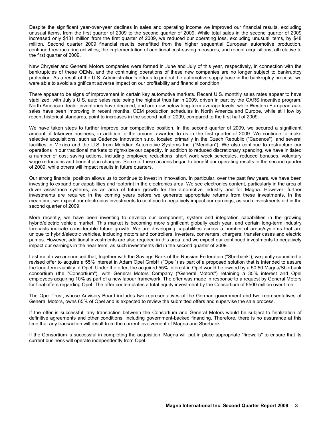Despite the significant year-over-year declines in sales and operating income we improved our financial results, excluding unusual items, from the first quarter of 2009 to the second quarter of 2009. While total sales in the second quarter of 2009 increased only \$131 million from the first quarter of 2009, we reduced our operating loss, excluding unusual items, by \$48 million. Second quarter 2009 financial results benefitted from the higher sequential European automotive production, continued restructuring activities, the implementation of additional cost-saving measures, and recent acquisitions, all relative to the first quarter of 2009.

New Chrysler and General Motors companies were formed in June and July of this year, respectively, in connection with the bankruptcies of these OEMs, and the continuing operations of these new companies are no longer subject to bankruptcy protection. As a result of the U.S. Administration's efforts to protect the automotive supply base in the bankruptcy process, we were able to avoid a significant adverse impact on our profitability and financial condition.

There appear to be signs of improvement in certain key automotive markets. Recent U.S. monthly sales rates appear to have stabilized, with July's U.S. auto sales rate being the highest thus far in 2009, driven in part by the CARS incentive program. North American dealer inventories have declined, and are now below long-term average levels, while Western European auto sales have been improving in recent months. OEM production schedules in North America and Europe, while still low by recent historical standards, point to increases in the second half of 2009, compared to the first half of 2009.

We have taken steps to further improve our competitive position. In the second quarter of 2009, we secured a significant amount of takeover business, in addition to the amount awarded to us in the first quarter of 2009. We continue to make selective acquisitions, such as Cadence Innovation s.r.o, located primarily in the Czech Republic ("Cadence"), and several facilities in Mexico and the U.S. from Meridian Automotive Systems Inc. ("Meridian"). We also continue to restructure our operations in our traditional markets to right-size our capacity. In addition to reduced discretionary spending, we have initiated a number of cost saving actions, including employee reductions, short work week schedules, reduced bonuses, voluntary wage reductions and benefit plan changes. Some of these actions began to benefit our operating results in the second quarter of 2009, while others will impact results in future quarters.

Our strong financial position allows us to continue to invest in innovation. In particular, over the past few years, we have been investing to expand our capabilities and footprint in the electronics area. We see electronics content, particularly in the area of driver assistance systems, as an area of future growth for the automotive industry and for Magna. However, further investments are required in the coming years before we generate appropriate returns from these investments. In the meantime, we expect our electronics investments to continue to negatively impact our earnings, as such investments did in the second quarter of 2009.

More recently, we have been investing to develop our component, system and integration capabilities in the growing hybrid/electric vehicle market. This market is becoming more significant globally each year, and certain long-term industry forecasts indicate considerable future growth. We are developing capabilities across a number of areas/systems that are unique to hybrid/electric vehicles, including motors and controllers, inverters, converters, chargers, transfer cases and electric pumps. However, additional investments are also required in this area, and we expect our continued investments to negatively impact our earnings in the near term, as such investments did in the second quarter of 2009.

Last month we announced that, together with the Savings Bank of the Russian Federation ("Sberbank"), we jointly submitted a revised offer to acquire a 55% interest in Adam Opel GmbH ("Opel") as part of a proposed solution that is intended to assure the long-term viability of Opel. Under the offer, the acquired 55% interest in Opel would be owned by a 50:50 Magna/Sberbank consortium (the "Consortium"), with General Motors Company ("General Motors") retaining a 35% interest and Opel employees acquiring 10% as part of a new labour framework. The offer was made in response to a request by General Motors for final offers regarding Opel. The offer contemplates a total equity investment by the Consortium of €500 million over time.

The Opel Trust, whose Advisory Board includes two representatives of the German government and two representatives of General Motors, owns 65% of Opel and is expected to review the submitted offers and supervise the sale process.

If the offer is successful, any transaction between the Consortium and General Motors would be subject to finalization of definitive agreements and other conditions, including government-backed financing. Therefore, there is no assurance at this time that any transaction will result from the current involvement of Magna and Sberbank.

If the Consortium is successful in completing the acquisition, Magna will put in place appropriate "firewalls" to ensure that its current business will operate independently from Opel.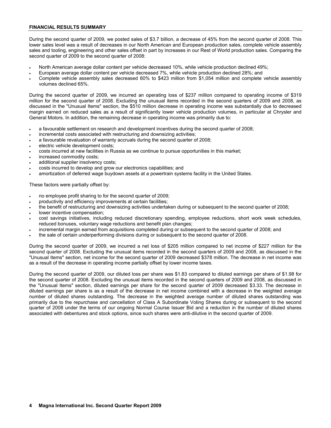### **FINANCIAL RESULTS SUMMARY**

During the second quarter of 2009, we posted sales of \$3.7 billion, a decrease of 45% from the second quarter of 2008. This lower sales level was a result of decreases in our North American and European production sales, complete vehicle assembly sales and tooling, engineering and other sales offset in part by increases in our Rest of World production sales. Comparing the second quarter of 2009 to the second quarter of 2008:

- North American average dollar content per vehicle decreased 10%, while vehicle production declined 49%;
- European average dollar content per vehicle decreased 7%, while vehicle production declined 28%; and
- Complete vehicle assembly sales decreased 60% to \$423 million from \$1,054 million and complete vehicle assembly volumes declined 65%.

During the second quarter of 2009, we incurred an operating loss of \$237 million compared to operating income of \$319 million for the second quarter of 2008. Excluding the unusual items recorded in the second quarters of 2009 and 2008, as discussed in the "Unusual Items" section, the \$510 million decrease in operating income was substantially due to decreased margin earned on reduced sales as a result of significantly lower vehicle production volumes, in particular at Chrysler and General Motors. In addition, the remaining decrease in operating income was primarily due to:

- a favourable settlement on research and development incentives during the second quarter of 2008;
- incremental costs associated with restructuring and downsizing activities;
- a favourable revaluation of warranty accruals during the second quarter of 2008;
- electric vehicle development costs;
- costs incurred at new facilities in Russia as we continue to pursue opportunities in this market;
- increased commodity costs;
- additional supplier insolvency costs;
- costs incurred to develop and grow our electronics capabilities; and
- amortization of deferred wage buydown assets at a powertrain systems facility in the United States.

These factors were partially offset by:

- no employee profit sharing to for the second quarter of 2009;
- productivity and efficiency improvements at certain facilities;
- the benefit of restructuring and downsizing activities undertaken during or subsequent to the second quarter of 2008;
- lower incentive compensation:
- cost savings initiatives, including reduced discretionary spending, employee reductions, short work week schedules, reduced bonuses, voluntary wage reductions and benefit plan changes;
- incremental margin earned from acquisitions completed during or subsequent to the second quarter of 2008; and
- the sale of certain underperforming divisions during or subsequent to the second quarter of 2008.

During the second quarter of 2009, we incurred a net loss of \$205 million compared to net income of \$227 million for the second quarter of 2008. Excluding the unusual items recorded in the second quarters of 2009 and 2008, as discussed in the "Unusual Items" section, net income for the second quarter of 2009 decreased \$378 million. The decrease in net income was as a result of the decrease in operating income partially offset by lower income taxes.

During the second quarter of 2009, our diluted loss per share was \$1.83 compared to diluted earnings per share of \$1.98 for the second quarter of 2008. Excluding the unusual items recorded in the second quarters of 2009 and 2008, as discussed in the "Unusual Items" section, diluted earnings per share for the second quarter of 2009 decreased \$3.33. The decrease in diluted earnings per share is as a result of the decrease in net income combined with a decrease in the weighted average number of diluted shares outstanding. The decrease in the weighted average number of diluted shares outstanding was primarily due to the repurchase and cancellation of Class A Subordinate Voting Shares during or subsequent to the second quarter of 2008 under the terms of our ongoing Normal Course Issuer Bid and a reduction in the number of diluted shares associated with debentures and stock options, since such shares were anti-dilutive in the second quarter of 2009.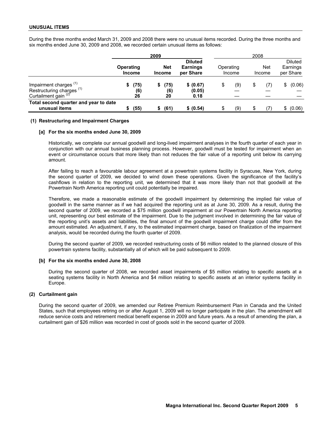During the three months ended March 31, 2009 and 2008 there were no unusual items recorded. During the three months and six months ended June 30, 2009 and 2008, we recorded certain unusual items as follows:

|                                                                                                     |                            | 2009                        |                                                |           |        | 2008 |               |                                         |
|-----------------------------------------------------------------------------------------------------|----------------------------|-----------------------------|------------------------------------------------|-----------|--------|------|---------------|-----------------------------------------|
|                                                                                                     | Operating<br><b>Income</b> | <b>Net</b><br><b>Income</b> | <b>Diluted</b><br><b>Earnings</b><br>per Share | Operating | Income |      | Net<br>Income | <b>Diluted</b><br>Earnings<br>per Share |
| Impairment charges $(1)$<br>Restructuring charges <sup>(1)</sup><br>Curtailment gain <sup>(2)</sup> | (75)<br>(6)<br>26          | (75)<br>(6)<br>20           | \$ (0.67)<br>(0.05)<br>0.18                    | S         | (9)    |      | (7)           | (0.06)                                  |
| Total second quarter and year to date<br>unusual items                                              | (55)                       | (61)                        | \$ (0.54)                                      | \$        | (9)    |      | (7)           | (0.06)<br>\$                            |

### **(1) Restructuring and Impairment Charges**

#### **[a] For the six months ended June 30, 2009**

Historically, we complete our annual goodwill and long-lived impairment analyses in the fourth quarter of each year in conjunction with our annual business planning process. However, goodwill must be tested for impairment when an event or circumstance occurs that more likely than not reduces the fair value of a reporting unit below its carrying amount.

After failing to reach a favourable labour agreement at a powertrain systems facility in Syracuse, New York, during the second quarter of 2009, we decided to wind down these operations. Given the significance of the facility's cashflows in relation to the reporting unit, we determined that it was more likely than not that goodwill at the Powertrain North America reporting unit could potentially be impaired.

Therefore, we made a reasonable estimate of the goodwill impairment by determining the implied fair value of goodwill in the same manner as if we had acquired the reporting unit as at June 30, 2009. As a result, during the second quarter of 2009, we recorded a \$75 million goodwill impairment at our Powertrain North America reporting unit, representing our best estimate of the impairment. Due to the judgment involved in determining the fair value of the reporting unit's assets and liabilities, the final amount of the goodwill impairment charge could differ from the amount estimated. An adjustment, if any, to the estimated impairment charge, based on finalization of the impairment analysis, would be recorded during the fourth quarter of 2009.

During the second quarter of 2009, we recorded restructuring costs of \$6 million related to the planned closure of this powertrain systems facility, substantially all of which will be paid subsequent to 2009.

### **[b] For the six months ended June 30, 2008**

During the second quarter of 2008, we recorded asset impairments of \$5 million relating to specific assets at a seating systems facility in North America and \$4 million relating to specific assets at an interior systems facility in Europe.

### **(2) Curtailment gain**

During the second quarter of 2009, we amended our Retiree Premium Reimbursement Plan in Canada and the United States, such that employees retiring on or after August 1, 2009 will no longer participate in the plan. The amendment will reduce service costs and retirement medical benefit expense in 2009 and future years. As a result of amending the plan, a curtailment gain of \$26 million was recorded in cost of goods sold in the second quarter of 2009.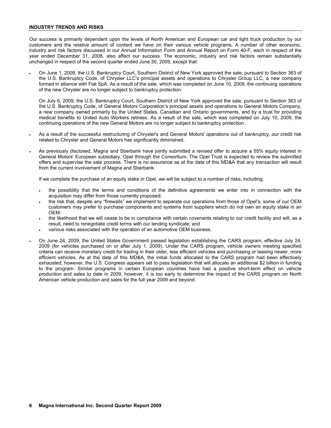### **INDUSTRY TRENDS AND RISKS**

Our success is primarily dependent upon the levels of North American and European car and light truck production by our customers and the relative amount of content we have on their various vehicle programs. A number of other economic, industry and risk factors discussed in our Annual Information Form and Annual Report on Form 40-F, each in respect of the year ended December 31, 2008, also affect our success. The economic, industry and risk factors remain substantially unchanged in respect of the second quarter ended June 30, 2009, except that:

• On June 1, 2009, the U.S. Bankruptcy Court, Southern District of New York approved the sale, pursuant to Section 363 of the U.S. Bankruptcy Code, of Chrysler LLC's principal assets and operations to Chrysler Group LLC, a new company formed in alliance with Fiat SpA. As a result of the sale, which was completed on June 10, 2009, the continuing operations of the new Chrysler are no longer subject to bankruptcy protection.

On July 6, 2009, the U.S. Bankruptcy Court, Southern District of New York approved the sale, pursuant to Section 363 of the U.S. Bankruptcy Code, of General Motors Corporation's principal assets and operations to General Motors Company, a new company owned primarily by the United States, Canadian and Ontario governments, and by a trust for providing medical benefits to United Auto Workers retirees. As a result of the sale, which was completed on July 10, 2009, the continuing operations of the new General Motors are no longer subject to bankruptcy protection.

- As a result of the successful restructuring of Chrysler's and General Motors' operations out of bankruptcy, our credit risk related to Chrysler and General Motors has significantly diminished.
- As previously disclosed, Magna and Sberbank have jointly submitted a revised offer to acquire a 55% equity interest in General Motors' European subsidiary, Opel through the Consortium. The Opel Trust is expected to review the submitted offers and supervise the sale process. There is no assurance as at the date of this MD&A that any transaction will result from the current involvement of Magna and Sberbank.

If we complete the purchase of an equity stake in Opel, we will be subject to a number of risks, including:

- the possibility that the terms and conditions of the definitive agreements we enter into in connection with the acquisition may differ from those currently proposed;
- the risk that, despite any "firewalls" we implement to separate our operations from those of Opel's, some of our OEM customers may prefer to purchase components and systems from suppliers which do not own an equity stake in an OEM;
- the likelihood that we will cease to be in compliance with certain covenants relating to our credit facility and will, as a result, need to renegotiate credit terms with our lending syndicate; and
- various risks associated with the operation of an automotive OEM business.
- On June 24, 2009, the United States Government passed legislation establishing the CARS program, effective July 24, 2009 (for vehicles purchased on or after July 1, 2009). Under the CARS program, vehicle owners meeting specified criteria can receive monetary credit for trading in their older, less efficient vehicles and purchasing or leasing newer, more efficient vehicles. As at the date of this MD&A, the initial funds allocated to the CARS program had been effectively exhausted, however, the U.S. Congress appears set to pass legislation that will allocate an additional \$2 billion in funding to the program. Similar programs in certain European countries have had a positive short-term effect on vehicle production and sales to date in 2009, however, it is too early to determine the impact of the CARS program on North American vehicle production and sales for the full year 2009 and beyond.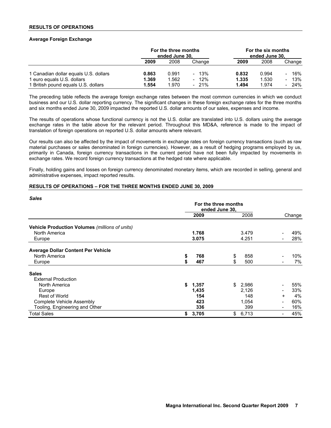### **RESULTS OF OPERATIONS**

### **Average Foreign Exchange**

|                                       | For the three months<br>ended June 30, |       | For the six months<br>ended June 30, |       |       |                                 |
|---------------------------------------|----------------------------------------|-------|--------------------------------------|-------|-------|---------------------------------|
|                                       | 2009                                   | 2008  | Change                               | 2009  | 2008  | Change                          |
| 1 Canadian dollar equals U.S. dollars | 0.863                                  | 0.991 | $-13\%$                              | 0.832 | 0.994 | - 16%                           |
| 1 euro equals U.S. dollars            | 1.369                                  | 1.562 | $-12\%$                              | 1.335 | 1.530 | 13%<br>$\overline{\phantom{0}}$ |
| 1 British pound equals U.S. dollars   | 1.554                                  | 1.970 | $-21\%$                              | 1.494 | 1.974 | $-24\%$                         |

The preceding table reflects the average foreign exchange rates between the most common currencies in which we conduct business and our U.S. dollar reporting currency. The significant changes in these foreign exchange rates for the three months and six months ended June 30, 2009 impacted the reported U.S. dollar amounts of our sales, expenses and income.

The results of operations whose functional currency is not the U.S. dollar are translated into U.S. dollars using the average exchange rates in the table above for the relevant period. Throughout this MD&A, reference is made to the impact of translation of foreign operations on reported U.S. dollar amounts where relevant.

Our results can also be affected by the impact of movements in exchange rates on foreign currency transactions (such as raw material purchases or sales denominated in foreign currencies). However, as a result of hedging programs employed by us, primarily in Canada, foreign currency transactions in the current period have not been fully impacted by movements in exchange rates. We record foreign currency transactions at the hedged rate where applicable.

Finally, holding gains and losses on foreign currency denominated monetary items, which are recorded in selling, general and administrative expenses, impact reported results.

### **RESULTS OF OPERATIONS – FOR THE THREE MONTHS ENDED JUNE 30, 2009**

| <b>Sales</b>                                   |                                        |       |    |       |                          |        |
|------------------------------------------------|----------------------------------------|-------|----|-------|--------------------------|--------|
|                                                | For the three months<br>ended June 30, |       |    |       |                          |        |
|                                                |                                        | 2009  |    | 2008  |                          | Change |
| Vehicle Production Volumes (millions of units) |                                        |       |    |       |                          |        |
| North America                                  |                                        | 1.768 |    | 3.479 |                          | 49%    |
| Europe                                         |                                        | 3.075 |    | 4.251 |                          | 28%    |
| <b>Average Dollar Content Per Vehicle</b>      |                                        |       |    |       |                          |        |
| North America                                  | \$                                     | 768   | \$ | 858   |                          | 10%    |
| Europe                                         | \$                                     | 467   | \$ | 500   |                          | 7%     |
| <b>Sales</b>                                   |                                        |       |    |       |                          |        |
| <b>External Production</b>                     |                                        |       |    |       |                          |        |
| North America                                  | \$                                     | 1,357 | \$ | 2,986 |                          | 55%    |
| Europe                                         |                                        | 1,435 |    | 2.126 | $\overline{\phantom{a}}$ | 33%    |
| <b>Rest of World</b>                           |                                        | 154   |    | 148   | $\ddot{}$                | 4%     |
| Complete Vehicle Assembly                      |                                        | 423   |    | 1,054 |                          | 60%    |
| Tooling, Engineering and Other                 |                                        | 336   |    | 399   | $\overline{\phantom{a}}$ | 16%    |
| <b>Total Sales</b>                             | \$                                     | 3,705 | \$ | 6,713 | $\overline{\phantom{a}}$ | 45%    |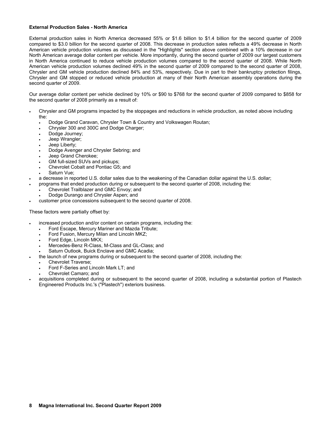### **External Production Sales - North America**

External production sales in North America decreased 55% or \$1.6 billion to \$1.4 billion for the second quarter of 2009 compared to \$3.0 billion for the second quarter of 2008. This decrease in production sales reflects a 49% decrease in North American vehicle production volumes as discussed in the "Highlights" section above combined with a 10% decrease in our North American average dollar content per vehicle. More importantly, during the second quarter of 2009 our largest customers in North America continued to reduce vehicle production volumes compared to the second quarter of 2008. While North American vehicle production volumes declined 49% in the second quarter of 2009 compared to the second quarter of 2008, Chrysler and GM vehicle production declined 84% and 53%, respectively. Due in part to their bankruptcy protection filings, Chrysler and GM stopped or reduced vehicle production at many of their North American assembly operations during the second quarter of 2009.

Our average dollar content per vehicle declined by 10% or \$90 to \$768 for the second quarter of 2009 compared to \$858 for the second quarter of 2008 primarily as a result of:

- Chrysler and GM programs impacted by the stoppages and reductions in vehicle production, as noted above including the:
	- Dodge Grand Caravan, Chrysler Town & Country and Volkswagen Routan;
	- Chrysler 300 and 300C and Dodge Charger;
	- Dodge Journey;
	- Jeep Wrangler;
	- Jeep Liberty;
	- Dodge Avenger and Chrysler Sebring; and
	- Jeep Grand Cherokee;
	- GM full-sized SUVs and pickups;
	- Chevrolet Cobalt and Pontiac G5; and
	- Saturn Vue:
- a decrease in reported U.S. dollar sales due to the weakening of the Canadian dollar against the U.S. dollar;
- programs that ended production during or subsequent to the second quarter of 2008, including the:
	- Chevrolet Trailblazer and GMC Envoy; and
	- Dodge Durango and Chrysler Aspen; and
- customer price concessions subsequent to the second quarter of 2008.

These factors were partially offset by:

- increased production and/or content on certain programs, including the:
	- Ford Escape, Mercury Mariner and Mazda Tribute;
	- Ford Fusion, Mercury Milan and Lincoln MKZ;
	- Ford Edge, Lincoln MKX:
	- Mercedes-Benz R-Class, M-Class and GL-Class; and
	- Saturn Outlook, Buick Enclave and GMC Acadia;
	- the launch of new programs during or subsequent to the second quarter of 2008, including the:
	- Chevrolet Traverse;
		- Ford F-Series and Lincoln Mark LT; and
	- Chevrolet Camaro; and
- acquisitions completed during or subsequent to the second quarter of 2008, including a substantial portion of Plastech Engineered Products Inc.'s ("Plastech") exteriors business.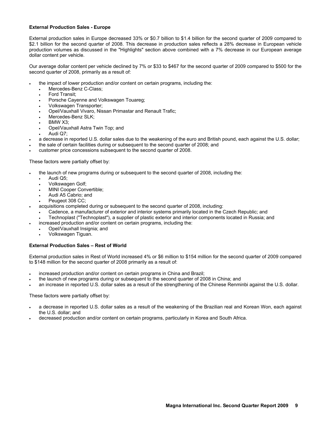### **External Production Sales - Europe**

External production sales in Europe decreased 33% or \$0.7 billion to \$1.4 billion for the second quarter of 2009 compared to \$2.1 billion for the second quarter of 2008. This decrease in production sales reflects a 28% decrease in European vehicle production volumes as discussed in the "Highlights" section above combined with a 7% decrease in our European average dollar content per vehicle.

Our average dollar content per vehicle declined by 7% or \$33 to \$467 for the second quarter of 2009 compared to \$500 for the second quarter of 2008, primarily as a result of:

- the impact of lower production and/or content on certain programs, including the:
	- Mercedes-Benz C-Class;
	- Ford Transit;
	- Porsche Cayenne and Volkswagen Touareg;
	- Volkswagen Transporter;
	- Opel/Vauxhall Vivaro, Nissan Primastar and Renault Trafic;
	- Mercedes-Benz SLK;
	- BMW X3;
	- Opel/Vauxhall Astra Twin Top; and
	- Audi Q7;
	- a decrease in reported U.S. dollar sales due to the weakening of the euro and British pound, each against the U.S. dollar;
- the sale of certain facilities during or subsequent to the second quarter of 2008; and
- customer price concessions subsequent to the second quarter of 2008.

# These factors were partially offset by:

- the launch of new programs during or subsequent to the second quarter of 2008, including the:
	- Audi Q5;
	- Volkswagen Golf;
	- MINI Cooper Convertible;
	- Audi A5 Cabrio; and
	- Peugeot 308 CC;
- acquisitions completed during or subsequent to the second quarter of 2008, including:
	- Cadence, a manufacturer of exterior and interior systems primarily located in the Czech Republic; and
	- Technoplast ("Technoplast"), a supplier of plastic exterior and interior components located in Russia; and
	- increased production and/or content on certain programs, including the:
	- Opel/Vauxhall Insignia; and
		- Volkswagen Tiguan.

# **External Production Sales – Rest of World**

External production sales in Rest of World increased 4% or \$6 million to \$154 million for the second quarter of 2009 compared to \$148 million for the second quarter of 2008 primarily as a result of:

- increased production and/or content on certain programs in China and Brazil;
- the launch of new programs during or subsequent to the second quarter of 2008 in China; and
- an increase in reported U.S. dollar sales as a result of the strengthening of the Chinese Renminbi against the U.S. dollar.

These factors were partially offset by:

- a decrease in reported U.S. dollar sales as a result of the weakening of the Brazilian real and Korean Won, each against the U.S. dollar; and
- decreased production and/or content on certain programs, particularly in Korea and South Africa.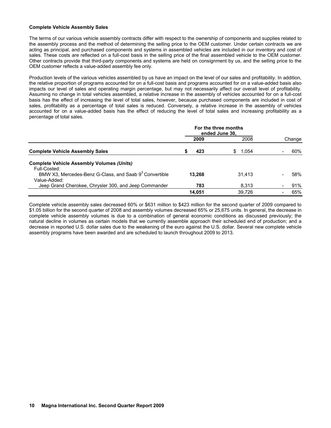### **Complete Vehicle Assembly Sales**

The terms of our various vehicle assembly contracts differ with respect to the ownership of components and supplies related to the assembly process and the method of determining the selling price to the OEM customer. Under certain contracts we are acting as principal, and purchased components and systems in assembled vehicles are included in our inventory and cost of sales. These costs are reflected on a full-cost basis in the selling price of the final assembled vehicle to the OEM customer. Other contracts provide that third-party components and systems are held on consignment by us, and the selling price to the OEM customer reflects a value-added assembly fee only.

Production levels of the various vehicles assembled by us have an impact on the level of our sales and profitability. In addition, the relative proportion of programs accounted for on a full-cost basis and programs accounted for on a value-added basis also impacts our level of sales and operating margin percentage, but may not necessarily affect our overall level of profitability. Assuming no change in total vehicles assembled, a relative increase in the assembly of vehicles accounted for on a full-cost basis has the effect of increasing the level of total sales, however, because purchased components are included in cost of sales, profitability as a percentage of total sales is reduced. Conversely, a relative increase in the assembly of vehicles accounted for on a value-added basis has the effect of reducing the level of total sales and increasing profitability as a percentage of total sales.

|                                                                                    | For the three months<br>ended June 30. |              |  |        |
|------------------------------------------------------------------------------------|----------------------------------------|--------------|--|--------|
|                                                                                    | 2009                                   | 2008         |  | Change |
| <b>Complete Vehicle Assembly Sales</b>                                             | 423                                    | SS.<br>1.054 |  | 60%    |
| <b>Complete Vehicle Assembly Volumes (Units)</b><br>Full-Costed:                   |                                        |              |  |        |
| BMW X3, Mercedes-Benz G-Class, and Saab 9 <sup>3</sup> Convertible<br>Value-Added: | 13.268                                 | 31.413       |  | 58%    |
| Jeep Grand Cherokee, Chrysler 300, and Jeep Commander                              | 783                                    | 8.313        |  | 91%    |
|                                                                                    | 14.051                                 | 39.726       |  | 65%    |

Complete vehicle assembly sales decreased 60% or \$631 million to \$423 million for the second quarter of 2009 compared to \$1.05 billion for the second quarter of 2008 and assembly volumes decreased 65% or 25,675 units. In general, the decrease in complete vehicle assembly volumes is due to a combination of general economic conditions as discussed previously; the natural decline in volumes as certain models that we currently assemble approach their scheduled end of production; and a decrease in reported U.S. dollar sales due to the weakening of the euro against the U.S. dollar. Several new complete vehicle assembly programs have been awarded and are scheduled to launch throughout 2009 to 2013.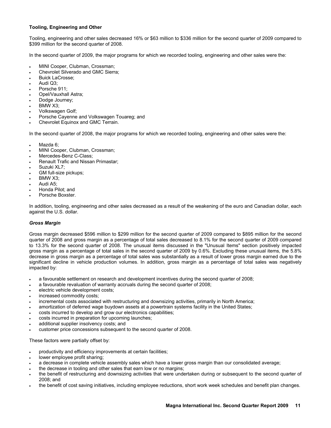# **Tooling, Engineering and Other**

Tooling, engineering and other sales decreased 16% or \$63 million to \$336 million for the second quarter of 2009 compared to \$399 million for the second quarter of 2008.

In the second quarter of 2009, the major programs for which we recorded tooling, engineering and other sales were the:

- MINI Cooper, Clubman, Crossman;
- Chevrolet Silverado and GMC Sierra;
- Buick LaCrosse;
- Audi Q3;
- Porsche 911:
- Opel/Vauxhall Astra;
- Dodge Journey:
- BMW X3:
- Volkswagen Golf;
- Porsche Cayenne and Volkswagen Touareg; and
- Chevrolet Equinox and GMC Terrain.

In the second quarter of 2008, the major programs for which we recorded tooling, engineering and other sales were the:

- Mazda 6:
- MINI Cooper, Clubman, Crossman;
- Mercedes-Benz C-Class:
- Renault Trafic and Nissan Primastar;
- Suzuki XL7;
- GM full-size pickups;
- BMW X3;
- Audi A5;
- Honda Pilot; and
- Porsche Boxster.

In addition, tooling, engineering and other sales decreased as a result of the weakening of the euro and Canadian dollar, each against the U.S. dollar.

# *Gross Margin*

Gross margin decreased \$596 million to \$299 million for the second quarter of 2009 compared to \$895 million for the second quarter of 2008 and gross margin as a percentage of total sales decreased to 8.1% for the second quarter of 2009 compared to 13.3% for the second quarter of 2008. The unusual items discussed in the "Unusual Items" section positively impacted gross margin as a percentage of total sales in the second quarter of 2009 by 0.6%. Excluding these unusual items, the 5.8% decrease in gross margin as a percentage of total sales was substantially as a result of lower gross margin earned due to the significant decline in vehicle production volumes. In addition, gross margin as a percentage of total sales was negatively impacted by:

- a favourable settlement on research and development incentives during the second quarter of 2008;
- a favourable revaluation of warranty accruals during the second quarter of 2008;
- electric vehicle development costs;
- increased commodity costs:
- incremental costs associated with restructuring and downsizing activities, primarily in North America;
- amortization of deferred wage buydown assets at a powertrain systems facility in the United States;
- costs incurred to develop and grow our electronics capabilities;
- costs incurred in preparation for upcoming launches;
- additional supplier insolvency costs; and
- customer price concessions subsequent to the second quarter of 2008.

These factors were partially offset by:

- productivity and efficiency improvements at certain facilities;
- lower employee profit sharing;
- a decrease in complete vehicle assembly sales which have a lower gross margin than our consolidated average;
- the decrease in tooling and other sales that earn low or no margins;
- the benefit of restructuring and downsizing activities that were undertaken during or subsequent to the second quarter of 2008; and
- the benefit of cost saving initiatives, including employee reductions, short work week schedules and benefit plan changes.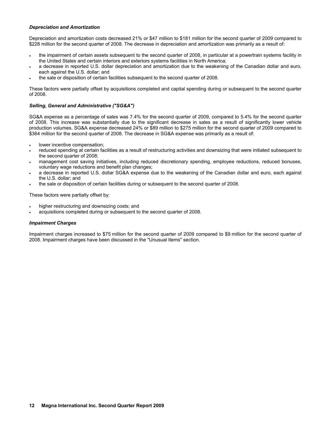### *Depreciation and Amortization*

Depreciation and amortization costs decreased 21% or \$47 million to \$181 million for the second quarter of 2009 compared to \$228 million for the second quarter of 2008. The decrease in depreciation and amortization was primarily as a result of:

- the impairment of certain assets subsequent to the second quarter of 2008, in particular at a powertrain systems facility in the United States and certain interiors and exteriors systems facilities in North America;
- a decrease in reported U.S. dollar depreciation and amortization due to the weakening of the Canadian dollar and euro, each against the U.S. dollar; and
- the sale or disposition of certain facilities subsequent to the second quarter of 2008.

These factors were partially offset by acquisitions completed and capital spending during or subsequent to the second quarter of 2008.

# *Selling, General and Administrative ("SG&A")*

SG&A expense as a percentage of sales was 7.4% for the second quarter of 2009, compared to 5.4% for the second quarter of 2008. This increase was substantially due to the significant decrease in sales as a result of significantly lower vehicle production volumes. SG&A expense decreased 24% or \$89 million to \$275 million for the second quarter of 2009 compared to \$364 million for the second quarter of 2008. The decrease in SG&A expense was primarily as a result of:

- lower incentive compensation;
- reduced spending at certain facilities as a result of restructuring activities and downsizing that were initiated subsequent to the second quarter of 2008;
- management cost saving initiatives, including reduced discretionary spending, employee reductions, reduced bonuses, voluntary wage reductions and benefit plan changes;
- a decrease in reported U.S. dollar SG&A expense due to the weakening of the Canadian dollar and euro, each against the U.S. dollar; and
- the sale or disposition of certain facilities during or subsequent to the second quarter of 2008.

These factors were partially offset by:

- higher restructuring and downsizing costs; and
- acquisitions completed during or subsequent to the second quarter of 2008.

### *Impairment Charges*

Impairment charges increased to \$75 million for the second quarter of 2009 compared to \$9 million for the second quarter of 2008. Impairment charges have been discussed in the "Unusual Items" section.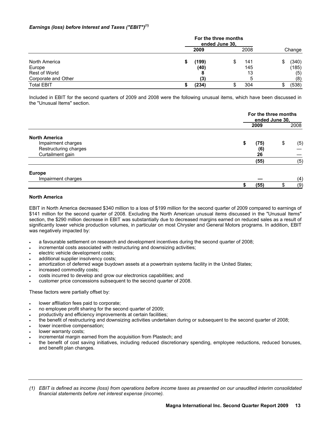# *Earnings (loss) before Interest and Taxes ("EBIT")(1)*

|                     | For the three months<br>ended June 30, |       |    |      |    |        |
|---------------------|----------------------------------------|-------|----|------|----|--------|
|                     |                                        | 2009  |    | 2008 |    | Change |
| North America       |                                        | (199) | \$ | 141  | S  | (340)  |
| Europe              |                                        | (40)  |    | 145  |    | (185)  |
| Rest of World       |                                        |       |    | 13   |    | (5)    |
| Corporate and Other |                                        | (3)   |    |      |    | (8)    |
| <b>Total EBIT</b>   |                                        | (234) |    | 304  | \$ | (538)  |

Included in EBIT for the second quarters of 2009 and 2008 were the following unusual items, which have been discussed in the "Unusual Items" section.

|                       |            | For the three months<br>ended June 30, |
|-----------------------|------------|----------------------------------------|
|                       | 2009       | 2008                                   |
| <b>North America</b>  |            |                                        |
| Impairment charges    | \$<br>(75) | (5)<br>\$                              |
| Restructuring charges | (6)        |                                        |
| Curtailment gain      | 26         |                                        |
|                       | (55)       | (5)                                    |
| <b>Europe</b>         |            |                                        |
| Impairment charges    |            | (4)                                    |
|                       | (55)       | (9)                                    |

# **North America**

EBIT in North America decreased \$340 million to a loss of \$199 million for the second quarter of 2009 compared to earnings of \$141 million for the second quarter of 2008. Excluding the North American unusual items discussed in the "Unusual Items" section, the \$290 million decrease in EBIT was substantially due to decreased margins earned on reduced sales as a result of significantly lower vehicle production volumes, in particular on most Chrysler and General Motors programs. In addition, EBIT was negatively impacted by:

- a favourable settlement on research and development incentives during the second quarter of 2008;
- incremental costs associated with restructuring and downsizing activities;
- electric vehicle development costs;
- additional supplier insolvency costs;
- amortization of deferred wage buydown assets at a powertrain systems facility in the United States;
- increased commodity costs:
- costs incurred to develop and grow our electronics capabilities; and
- customer price concessions subsequent to the second quarter of 2008.

These factors were partially offset by:

- lower affiliation fees paid to corporate;
- no employee profit sharing for the second quarter of 2009;
- productivity and efficiency improvements at certain facilities;
- the benefit of restructuring and downsizing activities undertaken during or subsequent to the second quarter of 2008;
- lower incentive compensation;
- lower warranty costs;
- incremental margin earned from the acquisition from Plastech; and
- the benefit of cost saving initiatives, including reduced discretionary spending, employee reductions, reduced bonuses, and benefit plan changes.

*<sup>(1)</sup> EBIT is defined as income (loss) from operations before income taxes as presented on our unaudited interim consolidated financial statements before net interest expense (income).*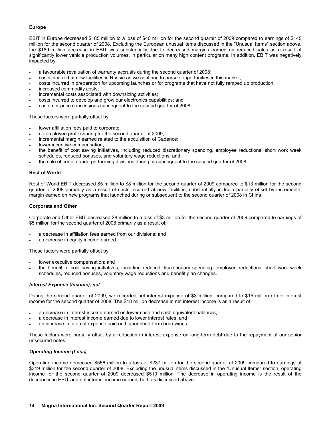# **Europe**

EBIT in Europe decreased \$185 million to a loss of \$40 million for the second quarter of 2009 compared to earnings of \$145 million for the second quarter of 2008. Excluding the European unusual items discussed in the "Unusual Items" section above, the \$189 million decrease in EBIT was substantially due to decreased margins earned on reduced sales as a result of significantly lower vehicle production volumes, in particular on many high content programs. In addition, EBIT was negatively impacted by:

- a favourable revaluation of warranty accruals during the second quarter of 2008;
- costs incurred at new facilities in Russia as we continue to pursue opportunities in this market;
- costs incurred in preparation for upcoming launches or for programs that have not fully ramped up production;
- increased commodity costs;
- incremental costs associated with downsizing activities;
- costs incurred to develop and grow our electronics capabilities; and
- customer price concessions subsequent to the second quarter of 2008.

These factors were partially offset by:

- lower affiliation fees paid to corporate;
- no employee profit sharing for the second quarter of 2009;
- incremental margin earned related to the acquisition of Cadence;
- lower incentive compensation;
- the benefit of cost saving initiatives, including reduced discretionary spending, employee reductions, short work week schedules, reduced bonuses, and voluntary wage reductions; and
- the sale of certain underperforming divisions during or subsequent to the second quarter of 2008.

### **Rest of World**

Rest of World EBIT decreased \$5 million to \$8 million for the second quarter of 2009 compared to \$13 million for the second quarter of 2008 primarily as a result of costs incurred at new facilities, substantially in India partially offset by incremental margin earned on new programs that launched during or subsequent to the second quarter of 2008 in China.

### **Corporate and Other**

Corporate and Other EBIT decreased \$8 million to a loss of \$3 million for the second quarter of 2009 compared to earnings of \$5 million for the second quarter of 2008 primarily as a result of:

- a decrease in affiliation fees earned from our divisions; and
- a decrease in equity income earned.

These factors were partially offset by:

- lower executive compensation; and
- the benefit of cost saving initiatives, including reduced discretionary spending, employee reductions, short work week schedules, reduced bonuses, voluntary wage reductions and benefit plan changes.

### *Interest Expense (Income), net*

During the second quarter of 2009, we recorded net interest expense of \$3 million, compared to \$15 million of net interest income for the second quarter of 2008. The \$18 million decrease in net interest income is as a result of:

- a decrease in interest income earned on lower cash and cash equivalent balances;
- a decrease in interest income earned due to lower interest rates; and
- an increase in interest expense paid on higher short-term borrowings.

These factors were partially offset by a reduction in interest expense on long-term debt due to the repayment of our senior unsecured notes.

### *Operating Income (Loss)*

Operating income decreased \$556 million to a loss of \$237 million for the second quarter of 2009 compared to earnings of \$319 million for the second quarter of 2008. Excluding the unusual items discussed in the "Unusual Items" section, operating income for the second quarter of 2009 decreased \$510 million. The decrease in operating income is the result of the decreases in EBIT and net interest income earned, both as discussed above.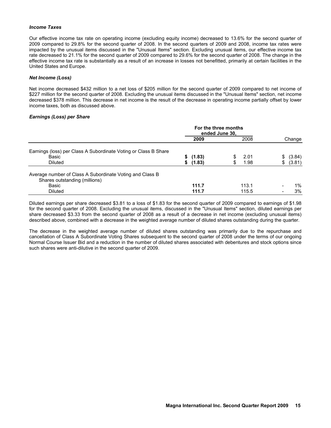### *Income Taxes*

Our effective income tax rate on operating income (excluding equity income) decreased to 13.6% for the second quarter of 2009 compared to 29.8% for the second quarter of 2008. In the second quarters of 2009 and 2008, income tax rates were impacted by the unusual items discussed in the "Unusual Items" section. Excluding unusual items, our effective income tax rate decreased to 21.1% for the second quarter of 2009 compared to 29.6% for the second quarter of 2008. The change in the effective income tax rate is substantially as a result of an increase in losses not benefitted, primarily at certain facilities in the United States and Europe.

### *Net Income (Loss)*

Net income decreased \$432 million to a net loss of \$205 million for the second quarter of 2009 compared to net income of \$227 million for the second quarter of 2008. Excluding the unusual items discussed in the "Unusual Items" section, net income decreased \$378 million. This decrease in net income is the result of the decrease in operating income partially offset by lower income taxes, both as discussed above.

### *Earnings (Loss) per Share*

|                                                                 | For the three months<br>ended June 30, |          |    |       |              |
|-----------------------------------------------------------------|----------------------------------------|----------|----|-------|--------------|
|                                                                 |                                        | 2009     |    | 2008  | Change       |
| Earnings (loss) per Class A Subordinate Voting or Class B Share |                                        |          |    |       |              |
| Basic                                                           |                                        | \$(1.83) |    | 2.01  | \$<br>(3.84) |
| <b>Diluted</b>                                                  | \$                                     | (1.83)   | \$ | 1.98  | \$<br>(3.81) |
| Average number of Class A Subordinate Voting and Class B        |                                        |          |    |       |              |
| Shares outstanding (millions)                                   |                                        |          |    |       |              |
| Basic                                                           |                                        | 111.7    |    | 113.1 | 1%           |
| <b>Diluted</b>                                                  |                                        | 111.7    |    | 115.5 | 3%           |

Diluted earnings per share decreased \$3.81 to a loss of \$1.83 for the second quarter of 2009 compared to earnings of \$1.98 for the second quarter of 2008. Excluding the unusual items, discussed in the "Unusual Items" section, diluted earnings per share decreased \$3.33 from the second quarter of 2008 as a result of a decrease in net income (excluding unusual items) described above, combined with a decrease in the weighted average number of diluted shares outstanding during the quarter.

The decrease in the weighted average number of diluted shares outstanding was primarily due to the repurchase and cancellation of Class A Subordinate Voting Shares subsequent to the second quarter of 2008 under the terms of our ongoing Normal Course Issuer Bid and a reduction in the number of diluted shares associated with debentures and stock options since such shares were anti-dilutive in the second quarter of 2009.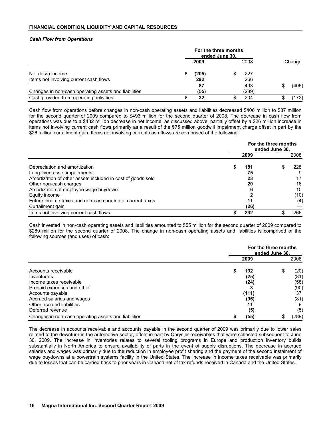### *Cash Flow from Operations*

|                                                      | For the three months<br>ended June 30. |       |  |       |        |
|------------------------------------------------------|----------------------------------------|-------|--|-------|--------|
|                                                      |                                        | 2009  |  | 2008  | Change |
| Net (loss) income                                    |                                        | (205) |  | 227   |        |
| Items not involving current cash flows               |                                        | 292   |  | 266   |        |
|                                                      |                                        | 87    |  | 493   | (406)  |
| Changes in non-cash operating assets and liabilities |                                        | (55)  |  | (289) |        |
| Cash provided from operating activities              |                                        | 32    |  | 204   | 172)   |

Cash flow from operations before changes in non-cash operating assets and liabilities decreased \$406 million to \$87 million for the second quarter of 2009 compared to \$493 million for the second quarter of 2008. The decrease in cash flow from operations was due to a \$432 million decrease in net income, as discussed above, partially offset by a \$26 million increase in items not involving current cash flows primarily as a result of the \$75 million goodwill impairment charge offset in part by the \$26 million curtailment gain. Items not involving current cash flows are comprised of the following:

|                                                             | For the three months<br>ended June 30. |      |  |      |
|-------------------------------------------------------------|----------------------------------------|------|--|------|
|                                                             |                                        | 2009 |  | 2008 |
| Depreciation and amortization                               |                                        | 181  |  | 228  |
| Long-lived asset impairments                                |                                        | 75   |  | 9    |
| Amortization of other assets included in cost of goods sold |                                        | 23   |  |      |
| Other non-cash charges                                      |                                        | 20   |  | 16   |
| Amortization of employee wage buydown                       |                                        | 6    |  | 10   |
| Equity income                                               |                                        |      |  | (10) |
| Future income taxes and non-cash portion of current taxes   |                                        | 11   |  | (4)  |
| Curtailment gain                                            |                                        | (26) |  |      |
| Items not involving current cash flows                      |                                        | 292  |  | 266  |

Cash invested in non-cash operating assets and liabilities amounted to \$55 million for the second quarter of 2009 compared to \$289 million for the second quarter of 2008. The change in non-cash operating assets and liabilities is comprised of the following sources (and uses) of cash:

|                                                      | For the three months<br>ended June 30. |       |  |  |  |
|------------------------------------------------------|----------------------------------------|-------|--|--|--|
|                                                      | 2009                                   | 2008  |  |  |  |
| Accounts receivable                                  | 192<br>S                               | (20)  |  |  |  |
| Inventories                                          | (25)                                   | (81)  |  |  |  |
| Income taxes receivable                              | (24)                                   | (58)  |  |  |  |
| Prepaid expenses and other                           |                                        | (90)  |  |  |  |
| Accounts payable                                     | (111)                                  | 37    |  |  |  |
| Accrued salaries and wages                           | (96)                                   | (81)  |  |  |  |
| Other accrued liabilities                            | 11                                     |       |  |  |  |
| Deferred revenue                                     | (5)                                    | (5)   |  |  |  |
| Changes in non-cash operating assets and liabilities | (55)                                   | (289) |  |  |  |

The decrease in accounts receivable and accounts payable in the second quarter of 2009 was primarily due to lower sales related to the downturn in the automotive sector, offset in part by Chrysler receivables that were collected subsequent to June 30, 2009. The increase in inventories relates to several tooling programs in Europe and production inventory builds substantially in North America to ensure availability of parts in the event of supply disruptions. The decrease in accrued salaries and wages was primarily due to the reduction in employee profit sharing and the payment of the second instalment of wage buydowns at a powertrain systems facility in the United States. The increase in income taxes receivable was primarily due to losses that can be carried back to prior years in Canada net of tax refunds received in Canada and the United States.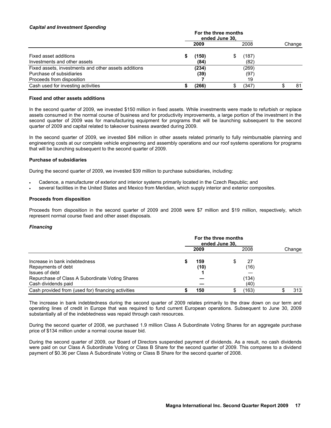### *Capital and Investment Spending*

|                                                                                                               |  | 2009          |   | 2008                | Change |
|---------------------------------------------------------------------------------------------------------------|--|---------------|---|---------------------|--------|
| Fixed asset additions<br>Investments and other assets                                                         |  | (150)<br>(84) | S | (187)<br>(82)       |        |
| Fixed assets, investments and other assets additions<br>Purchase of subsidiaries<br>Proceeds from disposition |  | (234)<br>(39) |   | (269)<br>(97)<br>19 |        |
| Cash used for investing activities                                                                            |  | (266)         | S | (347)               | 81     |

### **Fixed and other assets additions**

In the second quarter of 2009, we invested \$150 million in fixed assets. While investments were made to refurbish or replace assets consumed in the normal course of business and for productivity improvements, a large portion of the investment in the second quarter of 2009 was for manufacturing equipment for programs that will be launching subsequent to the second quarter of 2009 and capital related to takeover business awarded during 2009.

In the second quarter of 2009, we invested \$84 million in other assets related primarily to fully reimbursable planning and engineering costs at our complete vehicle engineering and assembly operations and our roof systems operations for programs that will be launching subsequent to the second quarter of 2009.

### **Purchase of subsidiaries**

During the second quarter of 2009, we invested \$39 million to purchase subsidiaries, including:

- Cadence, a manufacturer of exterior and interior systems primarily located in the Czech Republic; and
- several facilities in the United States and Mexico from Meridian, which supply interior and exterior composites.

## **Proceeds from disposition**

Proceeds from disposition in the second quarter of 2009 and 2008 were \$7 million and \$19 million, respectively, which represent normal course fixed and other asset disposals.

### *Financing*

|                                                    | For the three months<br>ended June 30, |      |   |       |        |
|----------------------------------------------------|----------------------------------------|------|---|-------|--------|
|                                                    |                                        | 2009 |   | 2008  | Change |
| Increase in bank indebtedness                      |                                        | 159  | S | 27    |        |
| Repayments of debt<br>Issues of debt               |                                        | (10) |   | (16)  |        |
| Repurchase of Class A Subordinate Voting Shares    |                                        |      |   | (134) |        |
| Cash dividends paid                                |                                        |      |   | (40)  |        |
| Cash provided from (used for) financing activities |                                        | 150  |   | (163) | 313    |

The increase in bank indebtedness during the second quarter of 2009 relates primarily to the draw down on our term and operating lines of credit in Europe that was required to fund current European operations. Subsequent to June 30, 2009 substantially all of the indebtedness was repaid through cash resources.

During the second quarter of 2008, we purchased 1.9 million Class A Subordinate Voting Shares for an aggregate purchase price of \$134 million under a normal course issuer bid.

During the second quarter of 2009, our Board of Directors suspended payment of dividends. As a result, no cash dividends were paid on our Class A Subordinate Voting or Class B Share for the second quarter of 2009. This compares to a dividend payment of \$0.36 per Class A Subordinate Voting or Class B Share for the second quarter of 2008.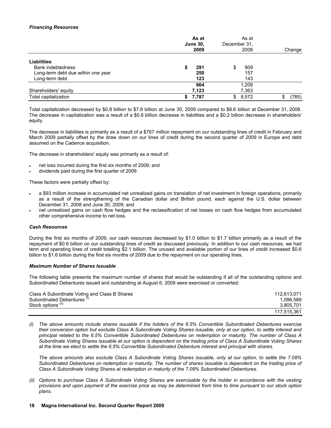## *Financing Resources*

| As at<br><b>June 30,</b><br>2009   |             | As at<br>December 31.<br>2008 | Change     |
|------------------------------------|-------------|-------------------------------|------------|
| <b>Liabilities</b>                 |             |                               |            |
| <b>Bank indebtedness</b>           | 291         | 909<br>\$                     |            |
| Long-term debt due within one year | 250         | 157                           |            |
| Long-term debt                     | 123         | 143                           |            |
|                                    | 664         | 1.209                         |            |
| Shareholders' equity               | 7,123       | 7,363                         |            |
| Total capitalization               | 7,787<br>S. | \$<br>8,572                   | (785)<br>S |

Total capitalization decreased by \$0.8 billion to \$7.8 billion at June 30, 2009 compared to \$8.6 billion at December 31, 2008. The decrease in capitalization was a result of a \$0.6 billion decrease in liabilities and a \$0.2 billion decrease in shareholders' equity.

The decrease in liabilities is primarily as a result of a \$767 million repayment on our outstanding lines of credit in February and March 2009 partially offset by the draw down on our lines of credit during the second quarter of 2009 in Europe and debt assumed on the Cadence acquisition.

The decrease in shareholders' equity was primarily as a result of:

- net loss incurred during the first six months of 2009; and
- dividends paid during the first quarter of 2009.

These factors were partially offset by:

- a \$93 million increase in accumulated net unrealized gains on translation of net investment in foreign operations, primarily as a result of the strengthening of the Canadian dollar and British pound, each against the U.S. dollar between December 31, 2008 and June 30, 2009; and
- net unrealized gains on cash flow hedges and the reclassification of net losses on cash flow hedges from accumulated other comprehensive income to net loss.

# *Cash Resources*

During the first six months of 2009, our cash resources decreased by \$1.0 billion to \$1.7 billion primarily as a result of the repayment of \$0.6 billion on our outstanding lines of credit as discussed previously. In addition to our cash resources, we had term and operating lines of credit totalling \$2.1 billion. The unused and available portion of our lines of credit increased \$0.6 billion to \$1.6 billion during the first six months of 2009 due to the repayment on our operating lines.

### *Maximum Number of Shares Issuable*

The following table presents the maximum number of shares that would be outstanding if all of the outstanding options and Subordinated Debentures issued and outstanding at August 6, 2009 were exercised or converted:

| Class A Subordinate Voting and Class B Shares | 112.613.071 |
|-----------------------------------------------|-------------|
| Subordinated Debentures <sup>(1)</sup>        | 1.096.589   |
| Stock options <sup>(ii)</sup>                 | 3.805.701   |
|                                               | 117.515.361 |

*(i) The above amounts include shares issuable if the holders of the 6.5% Convertible Subordinated Debentures exercise their conversion option but exclude Class A Subordinate Voting Shares issuable, only at our option, to settle interest and principal related to the 6.5% Convertible Subordinated Debentures on redemption or maturity. The number of Class A Subordinate Voting Shares issuable at our option is dependent on the trading price of Class A Subordinate Voting Shares at the time we elect to settle the 6.5% Convertible Subordinated Debenture interest and principal with shares.* 

 *The above amounts also exclude Class A Subordinate Voting Shares issuable, only at our option, to settle the 7.08% Subordinated Debentures on redemption or maturity. The number of shares issuable is dependent on the trading price of Class A Subordinate Voting Shares at redemption or maturity of the 7.08% Subordinated Debentures.* 

*(ii) Options to purchase Class A Subordinate Voting Shares are exercisable by the holder in accordance with the vesting provisions and upon payment of the exercise price as may be determined from time to time pursuant to our stock option plans.*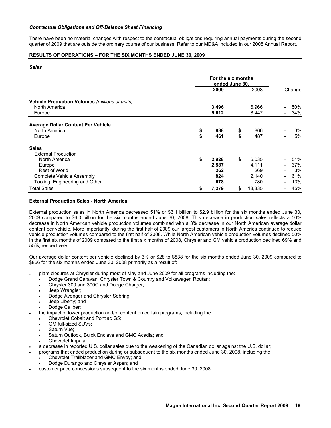### *Contractual Obligations and Off-Balance Sheet Financing*

There have been no material changes with respect to the contractual obligations requiring annual payments during the second quarter of 2009 that are outside the ordinary course of our business. Refer to our MD&A included in our 2008 Annual Report.

# **RESULTS OF OPERATIONS – FOR THE SIX MONTHS ENDED JUNE 30, 2009**

### *Sales*

|                                                |    | 2009  | 2008         | Change |
|------------------------------------------------|----|-------|--------------|--------|
| Vehicle Production Volumes (millions of units) |    |       |              |        |
| North America                                  |    | 3.496 | 6.966        | 50%    |
| Europe                                         |    | 5.612 | 8.447        | 34%    |
| Average Dollar Content Per Vehicle             |    |       |              |        |
| North America                                  | \$ | 838   | \$<br>866    | 3%     |
| Europe                                         | \$ | 461   | \$<br>487    | 5%     |
| <b>Sales</b>                                   |    |       |              |        |
| <b>External Production</b>                     |    |       |              |        |
| North America                                  | \$ | 2,928 | \$<br>6,035  | 51%    |
| Europe                                         |    | 2,587 | 4,111        | 37%    |
| <b>Rest of World</b>                           |    | 262   | 269          | 3%     |
| Complete Vehicle Assembly                      |    | 824   | 2,140        | 61%    |
| Tooling, Engineering and Other                 |    | 678   | 780          | 13%    |
| <b>Total Sales</b>                             | \$ | 7,279 | \$<br>13,335 | 45%    |

### **External Production Sales - North America**

External production sales in North America decreased 51% or \$3.1 billion to \$2.9 billion for the six months ended June 30, 2009 compared to \$6.0 billion for the six months ended June 30, 2008. This decrease in production sales reflects a 50% decrease in North American vehicle production volumes combined with a 3% decrease in our North American average dollar content per vehicle. More importantly, during the first half of 2009 our largest customers in North America continued to reduce vehicle production volumes compared to the first half of 2008. While North American vehicle production volumes declined 50% in the first six months of 2009 compared to the first six months of 2008, Chrysler and GM vehicle production declined 69% and 55%, respectively.

Our average dollar content per vehicle declined by 3% or \$28 to \$838 for the six months ended June 30, 2009 compared to \$866 for the six months ended June 30, 2008 primarily as a result of:

- plant closures at Chrysler during most of May and June 2009 for all programs including the:
	- Dodge Grand Caravan, Chrysler Town & Country and Volkswagen Routan;
	- Chrysler 300 and 300C and Dodge Charger;
	- Jeep Wrangler;
	- Dodge Avenger and Chrysler Sebring;
	- Jeep Liberty; and
	- Dodge Caliber:
- the impact of lower production and/or content on certain programs, including the:
	- Chevrolet Cobalt and Pontiac G5;
	- GM full-sized SUVs:
	- Saturn Vue:
	- Saturn Outlook, Buick Enclave and GMC Acadia; and
	- Chevrolet Impala;
- a decrease in reported U.S. dollar sales due to the weakening of the Canadian dollar against the U.S. dollar;
- programs that ended production during or subsequent to the six months ended June 30, 2008, including the:
	- Chevrolet Trailblazer and GMC Envoy; and
	- Dodge Durango and Chrysler Aspen; and
- customer price concessions subsequent to the six months ended June 30, 2008.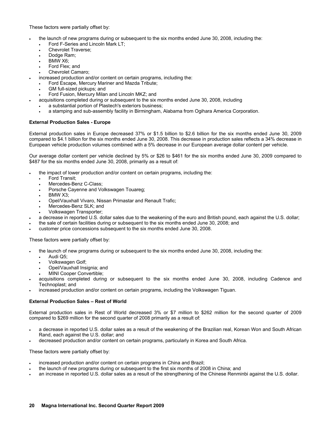These factors were partially offset by:

- the launch of new programs during or subsequent to the six months ended June 30, 2008, including the:
	- Ford F-Series and Lincoln Mark LT;
	- Chevrolet Traverse;
	- Dodge Ram;
	- BMW X6;
	- Ford Flex; and
	- Chevrolet Camaro;
	- increased production and/or content on certain programs, including the:
	- Ford Escape, Mercury Mariner and Mazda Tribute;
	- GM full-sized pickups; and
	- Ford Fusion, Mercury Milan and Lincoln MKZ; and
- acquisitions completed during or subsequent to the six months ended June 30, 2008, including
	- a substantial portion of Plastech's exteriors business;
	- a stamping and sub-assembly facility in Birmingham, Alabama from Ogihara America Corporation.

### **External Production Sales - Europe**

External production sales in Europe decreased 37% or \$1.5 billion to \$2.6 billion for the six months ended June 30, 2009 compared to \$4.1 billion for the six months ended June 30, 2008. This decrease in production sales reflects a 34% decrease in European vehicle production volumes combined with a 5% decrease in our European average dollar content per vehicle.

Our average dollar content per vehicle declined by 5% or \$26 to \$461 for the six months ended June 30, 2009 compared to \$487 for the six months ended June 30, 2008, primarily as a result of:

- the impact of lower production and/or content on certain programs, including the:
	- Ford Transit;
	- Mercedes-Benz C-Class;
	- Porsche Cayenne and Volkswagen Touareg;
	- BMW X3;
	- Opel/Vauxhall Vivaro, Nissan Primastar and Renault Trafic;
	- Mercedes-Benz SLK; and
	- Volkswagen Transporter;
- a decrease in reported U.S. dollar sales due to the weakening of the euro and British pound, each against the U.S. dollar;
- the sale of certain facilities during or subsequent to the six months ended June 30, 2008; and
- customer price concessions subsequent to the six months ended June 30, 2008.

These factors were partially offset by:

- the launch of new programs during or subsequent to the six months ended June 30, 2008, including the:
	- Audi Q5;
	- Volkswagen Golf;
	- Opel/Vauxhall Insignia; and
	- MINI Cooper Convertible;
- acquisitions completed during or subsequent to the six months ended June 30, 2008, including Cadence and Technoplast; and
- increased production and/or content on certain programs, including the Volkswagen Tiguan.

### **External Production Sales – Rest of World**

External production sales in Rest of World decreased 3% or \$7 million to \$262 million for the second quarter of 2009 compared to \$269 million for the second quarter of 2008 primarily as a result of:

- a decrease in reported U.S. dollar sales as a result of the weakening of the Brazilian real, Korean Won and South African Rand, each against the U.S. dollar; and
- decreased production and/or content on certain programs, particularly in Korea and South Africa.

These factors were partially offset by:

- increased production and/or content on certain programs in China and Brazil;
- the launch of new programs during or subsequent to the first six months of 2008 in China; and
- an increase in reported U.S. dollar sales as a result of the strengthening of the Chinese Renminbi against the U.S. dollar.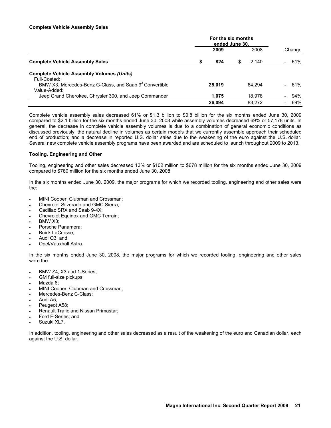### **Complete Vehicle Assembly Sales**

|                                                                                    | For the six months<br>ended June 30. |        |   |        |  |        |
|------------------------------------------------------------------------------------|--------------------------------------|--------|---|--------|--|--------|
|                                                                                    |                                      | 2009   |   | 2008   |  | Change |
| <b>Complete Vehicle Assembly Sales</b>                                             | S                                    | 824    | S | 2.140  |  | 61%    |
| <b>Complete Vehicle Assembly Volumes (Units)</b><br>Full-Costed:                   |                                      |        |   |        |  |        |
| BMW X3, Mercedes-Benz G-Class, and Saab 9 <sup>3</sup> Convertible<br>Value-Added: |                                      | 25,019 |   | 64.294 |  | 61%    |
| Jeep Grand Cherokee, Chrysler 300, and Jeep Commander                              |                                      | 1.075  |   | 18.978 |  | 94%    |
|                                                                                    |                                      | 26.094 |   | 83.272 |  | 69%    |

Complete vehicle assembly sales decreased 61% or \$1.3 billion to \$0.8 billion for the six months ended June 30, 2009 compared to \$2.1 billion for the six months ended June 30, 2008 while assembly volumes decreased 69% or 57,178 units. In general, the decrease in complete vehicle assembly volumes is due to a combination of general economic conditions as discussed previously; the natural decline in volumes as certain models that we currently assemble approach their scheduled end of production; and a decrease in reported U.S. dollar sales due to the weakening of the euro against the U.S. dollar. Several new complete vehicle assembly programs have been awarded and are scheduled to launch throughout 2009 to 2013.

### **Tooling, Engineering and Other**

Tooling, engineering and other sales decreased 13% or \$102 million to \$678 million for the six months ended June 30, 2009 compared to \$780 million for the six months ended June 30, 2008.

In the six months ended June 30, 2009, the major programs for which we recorded tooling, engineering and other sales were the:

- MINI Cooper, Clubman and Crossman;
- Chevrolet Silverado and GMC Sierra;
- Cadillac SRX and Saab 9-4X;
- Chevrolet Equinox and GMC Terrain;
- BMW X3;
- Porsche Panamera;
- Buick LaCrosse;
- Audi Q3; and
- Opel/Vauxhall Astra.

In the six months ended June 30, 2008, the major programs for which we recorded tooling, engineering and other sales were the:

- BMW Z4, X3 and 1-Series;
- GM full-size pickups;
- Mazda 6;
- MINI Cooper, Clubman and Crossman;
- Mercedes-Benz C-Class:
- Audi A5;
- Peugeot A58;
- Renault Trafic and Nissan Primastar;
- Ford F-Series; and
- Suzuki XL7.

In addition, tooling, engineering and other sales decreased as a result of the weakening of the euro and Canadian dollar, each against the U.S. dollar.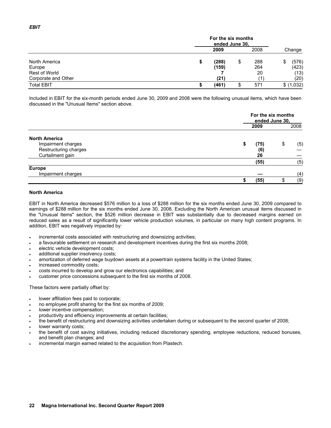|                     |   | For the six months<br>ended June 30, |   |      |    |            |  |  |
|---------------------|---|--------------------------------------|---|------|----|------------|--|--|
|                     |   | 2009                                 |   | 2008 |    | Change     |  |  |
| North America       | S | (288)                                | S | 288  | \$ | (576)      |  |  |
| Europe              |   | (159)                                |   | 264  |    | (423)      |  |  |
| Rest of World       |   |                                      |   | 20   |    | (13)       |  |  |
| Corporate and Other |   | (21)                                 |   |      |    | (20)       |  |  |
| <b>Total EBIT</b>   |   | (461)                                |   | 571  |    | \$ (1,032) |  |  |

Included in EBIT for the six-month periods ended June 30, 2009 and 2008 were the following unusual items, which have been discussed in the "Unusual Items" section above.

|                       | For the six months<br>ended June 30, |    |      |  |  |
|-----------------------|--------------------------------------|----|------|--|--|
|                       | 2009                                 |    | 2008 |  |  |
| <b>North America</b>  |                                      |    |      |  |  |
| Impairment charges    | \$<br>(75)                           | \$ | (5)  |  |  |
| Restructuring charges | (6)                                  |    |      |  |  |
| Curtailment gain      | 26                                   |    |      |  |  |
|                       | (55)                                 |    | (5)  |  |  |
| <b>Europe</b>         |                                      |    |      |  |  |
| Impairment charges    |                                      |    | (4)  |  |  |
|                       | (55)                                 |    | (9)  |  |  |

### **North America**

EBIT in North America decreased \$576 million to a loss of \$288 million for the six months ended June 30, 2009 compared to earnings of \$288 million for the six months ended June 30, 2008. Excluding the North American unusual items discussed in the "Unusual Items" section, the \$526 million decrease in EBIT was substantially due to decreased margins earned on reduced sales as a result of significantly lower vehicle production volumes, in particular on many high content programs. In addition, EBIT was negatively impacted by:

- incremental costs associated with restructuring and downsizing activities;
- a favourable settlement on research and development incentives during the first six months 2008;
- electric vehicle development costs:
- additional supplier insolvency costs;
- amortization of deferred wage buydown assets at a powertrain systems facility in the United States;
- increased commodity costs;
- costs incurred to develop and grow our electronics capabilities; and
- customer price concessions subsequent to the first six months of 2008.

These factors were partially offset by:

- lower affiliation fees paid to corporate;
- no employee profit sharing for the first six months of 2009;
- lower incentive compensation;
- productivity and efficiency improvements at certain facilities;
- the benefit of restructuring and downsizing activities undertaken during or subsequent to the second quarter of 2008;
- lower warranty costs;
- the benefit of cost saving initiatives, including reduced discretionary spending, employee reductions, reduced bonuses, and benefit plan changes; and
- incremental margin earned related to the acquisition from Plastech.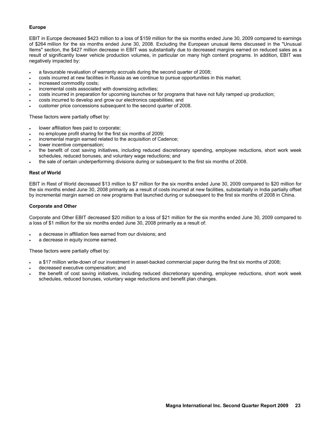# **Europe**

EBIT in Europe decreased \$423 million to a loss of \$159 million for the six months ended June 30, 2009 compared to earnings of \$264 million for the six months ended June 30, 2008. Excluding the European unusual items discussed in the "Unusual Items" section, the \$427 million decrease in EBIT was substantially due to decreased margins earned on reduced sales as a result of significantly lower vehicle production volumes, in particular on many high content programs. In addition, EBIT was negatively impacted by:

- a favourable revaluation of warranty accruals during the second quarter of 2008;
- costs incurred at new facilities in Russia as we continue to pursue opportunities in this market;
- increased commodity costs;
- incremental costs associated with downsizing activities;
- costs incurred in preparation for upcoming launches or for programs that have not fully ramped up production;
- costs incurred to develop and grow our electronics capabilities; and
- customer price concessions subsequent to the second quarter of 2008.

These factors were partially offset by:

- lower affiliation fees paid to corporate;
- no employee profit sharing for the first six months of 2009;
- incremental margin earned related to the acquisition of Cadence;
- lower incentive compensation;
- the benefit of cost saving initiatives, including reduced discretionary spending, employee reductions, short work week schedules, reduced bonuses, and voluntary wage reductions; and
- the sale of certain underperforming divisions during or subsequent to the first six months of 2008.

### **Rest of World**

EBIT in Rest of World decreased \$13 million to \$7 million for the six months ended June 30, 2009 compared to \$20 million for the six months ended June 30, 2008 primarily as a result of costs incurred at new facilities, substantially in India partially offset by incremental margin earned on new programs that launched during or subsequent to the first six months of 2008 in China.

### **Corporate and Other**

Corporate and Other EBIT decreased \$20 million to a loss of \$21 million for the six months ended June 30, 2009 compared to a loss of \$1 million for the six months ended June 30, 2008 primarily as a result of:

- a decrease in affiliation fees earned from our divisions; and
- a decrease in equity income earned.

These factors were partially offset by:

- a \$17 million write-down of our investment in asset-backed commercial paper during the first six months of 2008;
- decreased executive compensation; and
- the benefit of cost saving initiatives, including reduced discretionary spending, employee reductions, short work week schedules, reduced bonuses, voluntary wage reductions and benefit plan changes.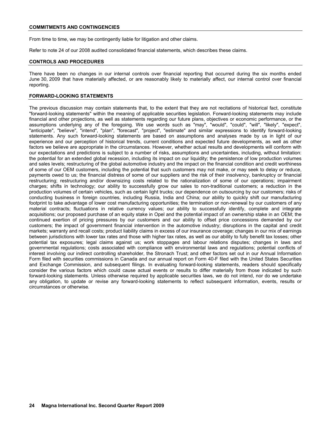From time to time, we may be contingently liable for litigation and other claims.

Refer to note 24 of our 2008 audited consolidated financial statements, which describes these claims.

### **CONTROLS AND PROCEDURES**

There have been no changes in our internal controls over financial reporting that occurred during the six months ended June 30, 2009 that have materially affected, or are reasonably likely to materially affect, our internal control over financial reporting.

### **FORWARD-LOOKING STATEMENTS**

The previous discussion may contain statements that, to the extent that they are not recitations of historical fact, constitute "forward-looking statements" within the meaning of applicable securities legislation. Forward-looking statements may include financial and other projections, as well as statements regarding our future plans, objectives or economic performance, or the assumptions underlying any of the foregoing. We use words such as "may", "would", "could", "will", "likely", "expect", "anticipate", "believe", "intend", "plan", "forecast", "project", "estimate" and similar expressions to identify forward-looking statements. Any such forward-looking statements are based on assumptions and analyses made by us in light of our experience and our perception of historical trends, current conditions and expected future developments, as well as other factors we believe are appropriate in the circumstances. However, whether actual results and developments will conform with our expectations and predictions is subject to a number of risks, assumptions and uncertainties, including, without limitation: the potential for an extended global recession, including its impact on our liquidity; the persistence of low production volumes and sales levels; restructuring of the global automotive industry and the impact on the financial condition and credit worthiness of some of our OEM customers, including the potential that such customers may not make, or may seek to delay or reduce, payments owed to us; the financial distress of some of our suppliers and the risk of their insolvency, bankruptcy or financial restructuring; restructuring and/or downsizing costs related to the rationalization of some of our operations; impairment charges; shifts in technology; our ability to successfully grow our sales to non-traditional customers; a reduction in the production volumes of certain vehicles, such as certain light trucks; our dependence on outsourcing by our customers; risks of conducting business in foreign countries, including Russia, India and China; our ability to quickly shift our manufacturing footprint to take advantage of lower cost manufacturing opportunities; the termination or non-renewal by our customers of any material contracts; fluctuations in relative currency values; our ability to successfully identify, complete and integrate acquisitions; our proposed purchase of an equity stake in Opel and the potential impact of an ownership stake in an OEM; the continued exertion of pricing pressures by our customers and our ability to offset price concessions demanded by our customers; the impact of government financial intervention in the automotive industry; disruptions in the capital and credit markets; warranty and recall costs; product liability claims in excess of our insurance coverage; changes in our mix of earnings between jurisdictions with lower tax rates and those with higher tax rates, as well as our ability to fully benefit tax losses; other potential tax exposures; legal claims against us; work stoppages and labour relations disputes; changes in laws and governmental regulations; costs associated with compliance with environmental laws and regulations; potential conflicts of interest involving our indirect controlling shareholder, the Stronach Trust; and other factors set out in our Annual Information Form filed with securities commissions in Canada and our annual report on Form 40-F filed with the United States Securities and Exchange Commission, and subsequent filings. In evaluating forward-looking statements, readers should specifically consider the various factors which could cause actual events or results to differ materially from those indicated by such forward-looking statements. Unless otherwise required by applicable securities laws, we do not intend, nor do we undertake any obligation, to update or revise any forward-looking statements to reflect subsequent information, events, results or circumstances or otherwise.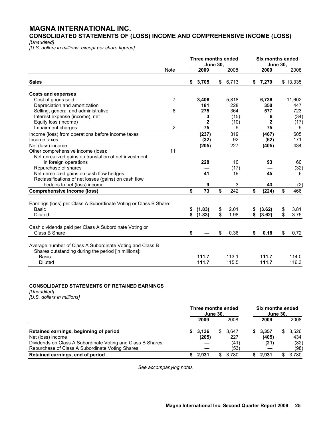# **MAGNA INTERNATIONAL INC.**

**CONSOLIDATED STATEMENTS OF (LOSS) INCOME AND COMPREHENSIVE INCOME (LOSS)** 

*[Unaudited]* 

*[U.S. dollars in millions, except per share figures]* 

|                                                                  |             |    | Three months ended<br>June 30, |                  | <b>Six months ended</b><br><b>June 30,</b> |            |
|------------------------------------------------------------------|-------------|----|--------------------------------|------------------|--------------------------------------------|------------|
|                                                                  | <b>Note</b> |    | 2009                           | 2008             | 2009                                       | 2008       |
| <b>Sales</b>                                                     |             | \$ | 3,705                          | \$<br>6,713      | \$7,279                                    | \$13,335   |
| <b>Costs and expenses</b>                                        |             |    |                                |                  |                                            |            |
| Cost of goods sold                                               | 7           |    | 3,406                          | 5,818            | 6,736                                      | 11,602     |
| Depreciation and amortization                                    |             |    | 181                            | 228              | 350                                        | 447        |
| Selling, general and administrative                              | 8           |    | 275                            | 364              | 577                                        | 723        |
| Interest expense (income), net                                   |             |    | 3                              | (15)             | 6                                          | (34)       |
| Equity loss (income)                                             |             |    | $\overline{2}$                 | (10)             | $\mathbf{2}$                               | (17)       |
| Impairment charges                                               | 2           |    | 75                             | 9                | 75                                         | 9          |
| Income (loss) from operations before income taxes                |             |    | (237)                          | 319              | (467)                                      | 605        |
| Income taxes                                                     |             |    | (32)                           | 92               | (62)                                       | 171        |
| Net (loss) income                                                |             |    | (205)                          | $\overline{227}$ | (405)                                      | 434        |
| Other comprehensive income (loss):                               | 11          |    |                                |                  |                                            |            |
| Net unrealized gains on translation of net investment            |             |    |                                |                  |                                            |            |
| in foreign operations                                            |             |    | 228                            | 10               | 93                                         | 60         |
| Repurchase of shares                                             |             |    |                                | (17)             |                                            | (32)       |
| Net unrealized gains on cash flow hedges                         |             |    | 41                             | 19               | 45                                         | 6          |
| Reclassifications of net losses (gains) on cash flow             |             |    |                                |                  |                                            |            |
| hedges to net (loss) income                                      |             |    | 9                              | 3                | 43                                         | (2)        |
| <b>Comprehensive income (loss)</b>                               |             | \$ | 73                             | \$<br>242        | \$<br>(224)                                | \$<br>466  |
| Earnings (loss) per Class A Subordinate Voting or Class B Share: |             |    |                                |                  |                                            |            |
| Basic                                                            |             | \$ | (1.83)                         | \$<br>2.01       | \$<br>(3.62)                               | \$<br>3.81 |
| <b>Diluted</b>                                                   |             | \$ | (1.83)                         | \$<br>1.98       | \$<br>(3.62)                               | \$<br>3.75 |
|                                                                  |             |    |                                |                  |                                            |            |
| Cash dividends paid per Class A Subordinate Voting or            |             |    |                                |                  |                                            |            |
| Class B Share                                                    |             | \$ |                                | \$<br>0.36       | \$<br>0.18                                 | \$<br>0.72 |
| Average number of Class A Subordinate Voting and Class B         |             |    |                                |                  |                                            |            |
| Shares outstanding during the period [in millions]:              |             |    |                                |                  |                                            |            |
| Basic                                                            |             |    | 111.7                          | 113.1            | 111.7                                      | 114.0      |
| <b>Diluted</b>                                                   |             |    | 111.7                          | 115.5            | 111.7                                      | 116.3      |
|                                                                  |             |    |                                |                  |                                            |            |

# **CONSOLIDATED STATEMENTS OF RETAINED EARNINGS**

*[Unaudited] [U.S. dollars in millions]*

 **Three months ended Six months ended June 30, June 30, 2009** 2008 **2009** 2008 **Retained earnings, beginning of period 8 1.436 \$ 3,136 \$ 3,647 \$ 3,357 \$ 3,526 Net (loss) income 134 134** Net (loss) income **(205)** 227 **(405)** 434 Dividends on Class A Subordinate Voting and Class B Shares **—** (41) (82)<br>Repurchase of Class A Subordinate Voting Shares **—** (53) (98) Repurchase of Class A Subordinate Voting Shares **Retained earnings, end of period \$ 2,931** \$ 3,780 **\$ 2,931** \$ 3,780

*See accompanying notes*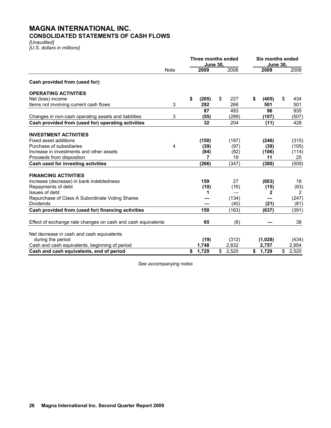# **MAGNA INTERNATIONAL INC. CONSOLIDATED STATEMENTS OF CASH FLOWS**

*[Unaudited] [U.S. dollars in millions]* 

|                                                                     | Three months ended<br><b>June 30.</b> |    |       |             |   |           | <b>Six months ended</b><br><b>June 30.</b> |                    |  |
|---------------------------------------------------------------------|---------------------------------------|----|-------|-------------|---|-----------|--------------------------------------------|--------------------|--|
|                                                                     | Note                                  |    | 2009  | 2008        |   | 2009      |                                            | 2008               |  |
| Cash provided from (used for):                                      |                                       |    |       |             |   |           |                                            |                    |  |
| <b>OPERATING ACTIVITIES</b>                                         |                                       |    |       |             |   |           |                                            |                    |  |
| Net (loss) income                                                   |                                       | \$ | (205) | \$<br>227   | S | (405)     | \$                                         | 434                |  |
| Items not involving current cash flows                              | 3                                     |    | 292   | 266         |   | 501       |                                            | 501                |  |
|                                                                     |                                       |    | 87    | 493         |   | 96        |                                            | 935                |  |
| Changes in non-cash operating assets and liabilities                | 3                                     |    | (55)  | (289)       |   | (107)     |                                            | (507)              |  |
| Cash provided from (used for) operating activities                  |                                       |    | 32    | 204         |   | (11)      |                                            | 428                |  |
| <b>INVESTMENT ACTIVITIES</b>                                        |                                       |    |       |             |   |           |                                            |                    |  |
| Fixed asset additions                                               |                                       |    | (150) | (187)       |   | (246)     |                                            | (315)              |  |
| Purchase of subsidiaries                                            | 4                                     |    | (39)  | (97)        |   | (39)      |                                            | (105)              |  |
| Increase in investments and other assets                            |                                       |    | (84)  | (82)        |   | (106)     |                                            | (114)              |  |
| Proceeds from disposition                                           |                                       |    | 7     | 19          |   | 11        |                                            | 25                 |  |
| Cash used for investing activities                                  |                                       |    | (266) | (347)       |   | (380)     |                                            | (509)              |  |
| <b>FINANCING ACTIVITIES</b>                                         |                                       |    |       |             |   |           |                                            |                    |  |
|                                                                     |                                       |    | 159   |             |   |           |                                            |                    |  |
| Increase (decrease) in bank indebtedness                            |                                       |    |       | 27          |   | (603)     |                                            | 18                 |  |
| Repayments of debt<br>Issues of debt                                |                                       |    | (10)  | (16)        |   | (15)<br>2 |                                            | (83)<br>2          |  |
|                                                                     |                                       |    | 1     | (134)       |   |           |                                            |                    |  |
| Repurchase of Class A Subordinate Voting Shares<br><b>Dividends</b> |                                       |    |       | (40)        |   | (21)      |                                            | (247)<br>(81)      |  |
|                                                                     |                                       |    | 150   |             |   |           |                                            |                    |  |
| Cash provided from (used for) financing activities                  |                                       |    |       | (163)       |   | (637)     |                                            | (391)              |  |
| Effect of exchange rate changes on cash and cash equivalents        |                                       |    | 65    | (6)         |   |           |                                            | 38                 |  |
|                                                                     |                                       |    |       |             |   |           |                                            |                    |  |
| Net decrease in cash and cash equivalents                           |                                       |    |       |             |   |           |                                            |                    |  |
| during the period                                                   |                                       |    | (19)  | (312)       |   | (1,028)   |                                            | (434)              |  |
| Cash and cash equivalents, beginning of period                      |                                       |    | 1,748 | 2,832       |   | 2,757     |                                            | 2,954              |  |
| Cash and cash equivalents, end of period                            |                                       | \$ | 1,729 | \$<br>2,520 |   | \$ 1,729  | $\overline{\mathbb{S}}$                    | $\overline{2,520}$ |  |

*See accompanying notes*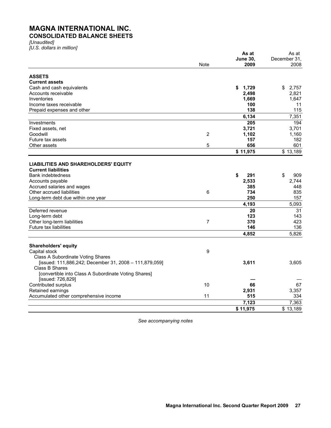# **MAGNA INTERNATIONAL INC. CONSOLIDATED BALANCE SHEETS**

*[Unaudited]* 

*[U.S. dollars in million]* 

|                                                                          |                | As at            | As at        |
|--------------------------------------------------------------------------|----------------|------------------|--------------|
|                                                                          |                | <b>June 30,</b>  | December 31, |
|                                                                          | Note           | 2009             | 2008         |
| <b>ASSETS</b>                                                            |                |                  |              |
| <b>Current assets</b>                                                    |                |                  |              |
| Cash and cash equivalents                                                |                | \$<br>1,729      | \$<br>2,757  |
| Accounts receivable                                                      |                | 2,498            | 2,821        |
| Inventories                                                              |                | 1,669            | 1,647        |
| Income taxes receivable                                                  |                | 100              | 11           |
| Prepaid expenses and other                                               |                | 138              | 115          |
|                                                                          |                | 6,134            | 7,351        |
| Investments                                                              |                | $\overline{205}$ | 194          |
| Fixed assets, net                                                        |                | 3,721            | 3,701        |
| Goodwill                                                                 | $\overline{2}$ | 1,102            | 1,160        |
| Future tax assets                                                        |                | 157              | 182          |
| Other assets                                                             | 5              | 656              | 601          |
|                                                                          |                | \$11,975         | \$13,189     |
|                                                                          |                |                  |              |
| <b>LIABILITIES AND SHAREHOLDERS' EQUITY</b>                              |                |                  |              |
| <b>Current liabilities</b>                                               |                |                  |              |
| <b>Bank indebtedness</b>                                                 |                | \$<br>291        | \$<br>909    |
| Accounts payable                                                         |                | 2,533            | 2,744        |
| Accrued salaries and wages                                               |                | 385              | 448          |
| Other accrued liabilities                                                | 6              | 734              | 835          |
| Long-term debt due within one year                                       |                | 250              | 157          |
|                                                                          |                | 4,193            | 5,093        |
| Deferred revenue                                                         |                | 20               | 31           |
| Long-term debt                                                           |                | 123              | 143          |
| Other long-term liabilities                                              | 7              | 370              | 423          |
| Future tax liabilities                                                   |                | 146              | 136          |
|                                                                          |                | 4,852            | 5,826        |
|                                                                          |                |                  |              |
| <b>Shareholders' equity</b>                                              | 9              |                  |              |
| Capital stock<br>Class A Subordinate Voting Shares                       |                |                  |              |
|                                                                          |                | 3,611            | 3.605        |
| [issued: 111,886,242; December 31, 2008 - 111,879,059]<br>Class B Shares |                |                  |              |
| [convertible into Class A Subordinate Voting Shares]                     |                |                  |              |
| [issued: 726,829]                                                        |                |                  |              |
| Contributed surplus                                                      | 10             | 66               | 67           |
| Retained earnings                                                        |                | 2,931            | 3,357        |
| Accumulated other comprehensive income                                   | 11             | 515              | 334          |
|                                                                          |                | 7,123            | 7,363        |
|                                                                          |                | \$11,975         | \$13,189     |
|                                                                          |                |                  |              |

*See accompanying notes*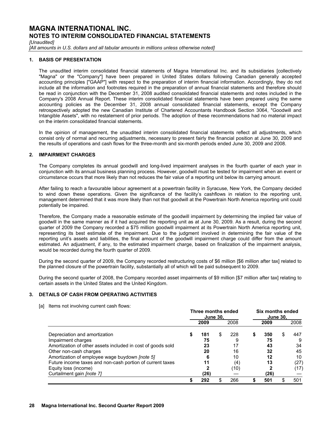*[Unaudited]* 

[All amounts in U.S. dollars and all tabular amounts in millions unless otherwise noted]

### **1. BASIS OF PRESENTATION**

The unaudited interim consolidated financial statements of Magna International Inc. and its subsidiaries [collectively "Magna" or the "Company"] have been prepared in United States dollars following Canadian generally accepted accounting principles ["GAAP"] with respect to the preparation of interim financial information. Accordingly, they do not include all the information and footnotes required in the preparation of annual financial statements and therefore should be read in conjunction with the December 31, 2008 audited consolidated financial statements and notes included in the Company's 2008 Annual Report. These interim consolidated financial statements have been prepared using the same accounting policies as the December 31, 2008 annual consolidated financial statements, except the Company retrospectively adopted the new Canadian Institute of Chartered Accountants Handbook Section 3064, "Goodwill and Intangible Assets", with no restatement of prior periods. The adoption of these recommendations had no material impact on the interim consolidated financial statements.

In the opinion of management, the unaudited interim consolidated financial statements reflect all adjustments, which consist only of normal and recurring adjustments, necessary to present fairly the financial position at June 30, 2009 and the results of operations and cash flows for the three-month and six-month periods ended June 30, 2009 and 2008.

# **2. IMPAIRMENT CHARGES**

The Company completes its annual goodwill and long-lived impairment analyses in the fourth quarter of each year in conjunction with its annual business planning process. However, goodwill must be tested for impairment when an event or circumstance occurs that more likely than not reduces the fair value of a reporting unit below its carrying amount.

After failing to reach a favourable labour agreement at a powertrain facility in Syracuse, New York, the Company decided to wind down these operations. Given the significance of the facility's cashflows in relation to the reporting unit, management determined that it was more likely than not that goodwill at the Powertrain North America reporting unit could potentially be impaired.

Therefore, the Company made a reasonable estimate of the goodwill impairment by determining the implied fair value of goodwill in the same manner as if it had acquired the reporting unit as at June 30, 2009. As a result, during the second quarter of 2009 the Company recorded a \$75 million goodwill impairment at its Powertrain North America reporting unit, representing its best estimate of the impairment. Due to the judgment involved in determining the fair value of the reporting unit's assets and liabilities, the final amount of the goodwill impairment charge could differ from the amount estimated. An adjustment, if any, to the estimated impairment charge, based on finalization of the impairment analysis, would be recorded during the fourth quarter of 2009.

During the second quarter of 2009, the Company recorded restructuring costs of \$6 million [\$6 million after tax] related to the planned closure of the powertrain facility, substantially all of which will be paid subsequent to 2009.

During the second quarter of 2008, the Company recorded asset impairments of \$9 million [\$7 million after tax] relating to certain assets in the United States and the United Kingdom.

# **3. DETAILS OF CASH FROM OPERATING ACTIVITIES**

[a] Items not involving current cash flows:

|                                                             | Three months ended<br><b>June 30.</b> |      |   |      | Six months ended<br><b>June 30,</b> |      |   |      |
|-------------------------------------------------------------|---------------------------------------|------|---|------|-------------------------------------|------|---|------|
|                                                             |                                       | 2009 |   | 2008 |                                     | 2009 |   | 2008 |
| Depreciation and amortization                               | S                                     | 181  | S | 228  | \$                                  | 350  | S | 447  |
| Impairment charges                                          |                                       | 75   |   |      |                                     | 75   |   | 9    |
| Amortization of other assets included in cost of goods sold |                                       | 23   |   | 17   |                                     | 43   |   | 34   |
| Other non-cash charges                                      |                                       | 20   |   | 16   |                                     | 32   |   | 45   |
| Amortization of employee wage buydown [note 5]              |                                       | 6    |   | 10   |                                     | 12   |   | 10   |
| Future income taxes and non-cash portion of current taxes   |                                       | 11   |   | (4)  |                                     | 13   |   | (27) |
| Equity loss (income)                                        |                                       |      |   | (10) |                                     |      |   | (17) |
| Curtailment gain [note 7]                                   |                                       | (26) |   |      |                                     | (26) |   |      |
|                                                             |                                       | 292  | S | 266  |                                     | 501  |   | 501  |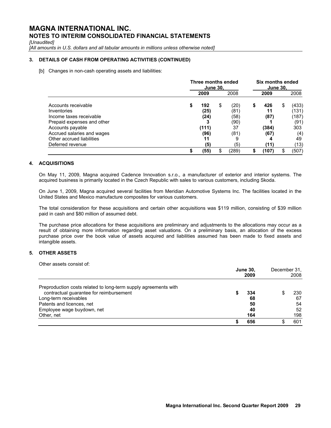*[Unaudited]* 

[All amounts in U.S. dollars and all tabular amounts in millions unless otherwise noted]

# **3. DETAILS OF CASH FROM OPERATING ACTIVITIES (CONTINUED)**

[b] Changes in non-cash operating assets and liabilities:

|                            | Three months ended<br><b>June 30.</b> |       |    | Six months ended<br><b>June 30.</b> |           |    |       |
|----------------------------|---------------------------------------|-------|----|-------------------------------------|-----------|----|-------|
|                            |                                       | 2009  |    | 2008                                | 2009      |    | 2008  |
| Accounts receivable        | S                                     | 192   | \$ | (20)                                | \$<br>426 | \$ | (433) |
| Inventories                |                                       | (25)  |    | (81)                                | 11        |    | (131) |
| Income taxes receivable    |                                       | (24)  |    | (58)                                | (87)      |    | (187) |
| Prepaid expenses and other |                                       |       |    | (90)                                |           |    | (91)  |
| Accounts payable           |                                       | (111) |    | 37                                  | (384)     |    | 303   |
| Accrued salaries and wages |                                       | (96)  |    | (81)                                | (67)      |    | (4)   |
| Other accrued liabilities  |                                       | 11    |    |                                     |           |    | 49    |
| Deferred revenue           |                                       | (5)   |    | (5)                                 | (11)      |    | (13)  |
|                            |                                       | (55)  | \$ | (289)                               | (107)     | S  | (507) |

# **4. ACQUISITIONS**

On May 11, 2009, Magna acquired Cadence Innovation s.r.o., a manufacturer of exterior and interior systems. The acquired business is primarily located in the Czech Republic with sales to various customers, including Skoda.

On June 1, 2009, Magna acquired several facilities from Meridian Automotive Systems Inc. The facilities located in the United States and Mexico manufacture composites for various customers.

The total consideration for these acquisitions and certain other acquisitions was \$119 million, consisting of \$39 million paid in cash and \$80 million of assumed debt.

The purchase price allocations for these acquisitions are preliminary and adjustments to the allocations may occur as a result of obtaining more information regarding asset valuations. On a preliminary basis, an allocation of the excess purchase price over the book value of assets acquired and liabilities assumed has been made to fixed assets and intangible assets.

# **5. OTHER ASSETS**

Other assets consist of:

|                                                                 |  | <b>June 30,</b><br>2009 |  |     |  |  |
|-----------------------------------------------------------------|--|-------------------------|--|-----|--|--|
| Preproduction costs related to long-term supply agreements with |  |                         |  |     |  |  |
| contractual guarantee for reimbursement                         |  | 334                     |  | 230 |  |  |
| Long-term receivables                                           |  | 68                      |  | 67  |  |  |
| Patents and licences, net                                       |  | 50                      |  | 54  |  |  |
| Employee wage buydown, net                                      |  | 40                      |  | 52  |  |  |
| Other, net                                                      |  | 164                     |  | 198 |  |  |
|                                                                 |  | 656                     |  | 601 |  |  |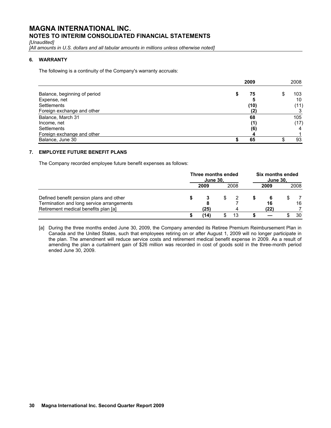*[Unaudited]* 

*[All amounts in U.S. dollars and all tabular amounts in millions unless otherwise noted]* 

# **6. WARRANTY**

The following is a continuity of the Company's warranty accruals:

|                              |   | 2009 |  | 2008 |
|------------------------------|---|------|--|------|
| Balance, beginning of period | S | 75   |  | 103  |
| Expense, net                 |   |      |  | 10   |
| Settlements                  |   | (10) |  | (11) |
| Foreign exchange and other   |   | (2)  |  |      |
| Balance, March 31            |   | 68   |  | 105  |
| Income, net                  |   | (1)  |  | (17) |
| <b>Settlements</b>           |   | (6)  |  |      |
| Foreign exchange and other   |   |      |  |      |
| Balance, June 30             |   | 65   |  | 93   |

# **7. EMPLOYEE FUTURE BENEFIT PLANS**

The Company recorded employee future benefit expenses as follows:

|                                                                                   | Three months ended<br><b>June 30,</b> |      |    |      | Six months ended<br><b>June 30,</b> |            |  |      |
|-----------------------------------------------------------------------------------|---------------------------------------|------|----|------|-------------------------------------|------------|--|------|
|                                                                                   |                                       | 2009 |    | 2008 |                                     | 2009       |  | 2008 |
| Defined benefit pension plans and other                                           |                                       |      | S. |      |                                     | -6         |  |      |
| Termination and long service arrangements<br>Retirement medical benefits plan [a] |                                       | (25) |    |      |                                     | 16<br>(22) |  | 16   |
|                                                                                   |                                       | '14) |    | 13   |                                     |            |  | 30   |

[a] During the three months ended June 30, 2009, the Company amended its Retiree Premium Reimbursement Plan in Canada and the United States, such that employees retiring on or after August 1, 2009 will no longer participate in the plan. The amendment will reduce service costs and retirement medical benefit expense in 2009. As a result of amending the plan a curtailment gain of \$26 million was recorded in cost of goods sold in the three-month period ended June 30, 2009.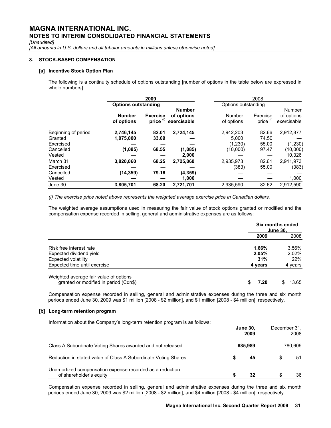*[Unaudited]* 

[All amounts in U.S. dollars and all tabular amounts in millions unless otherwise noted]

### **8. STOCK-BASED COMPENSATION**

### **[a] Incentive Stock Option Plan**

 The following is a continuity schedule of options outstanding [number of options in the table below are expressed in whole numbers]:

|                                |                             | 2009                         |                                            |                      | 2008                             |                                     |
|--------------------------------|-----------------------------|------------------------------|--------------------------------------------|----------------------|----------------------------------|-------------------------------------|
|                                | <b>Options outstanding</b>  |                              |                                            | Options outstanding  |                                  |                                     |
|                                | <b>Number</b><br>of options | <b>Exercise</b><br>price (i) | <b>Number</b><br>of options<br>exercisable | Number<br>of options | Exercise<br>price <sup>(i)</sup> | Number<br>of options<br>exercisable |
| Beginning of period<br>Granted | 2,746,145<br>1,075,000      | 82.01<br>33.09               | 2,724,145                                  | 2,942,203<br>5.000   | 82.66<br>74.50                   | 2,912,877                           |
| Exercised                      |                             |                              |                                            | (1,230)              | 55.00                            | (1,230)                             |
| Cancelled                      | (1,085)                     | 68.55                        | (1,085)                                    | (10,000)             | 97.47                            | (10,000)                            |
| Vested                         |                             |                              | 2,000                                      |                      |                                  | 10,326                              |
| March 31                       | 3,820,060                   | 68.25                        | 2,725,060                                  | 2,935,973            | 82.61                            | 2,911,973                           |
| Exercised                      |                             |                              |                                            | (383)                | 55.00                            | (383)                               |
| Cancelled                      | (14, 359)                   | 79.16                        | (4, 359)                                   |                      |                                  |                                     |
| Vested                         |                             |                              | 1,000                                      |                      |                                  | 1,000                               |
| June 30                        | 3,805,701                   | 68.20                        | 2,721,701                                  | 2,935,590            | 82.62                            | 2,912,590                           |

*(i) The exercise price noted above represents the weighted average exercise price in Canadian dollars.* 

The weighted average assumptions used in measuring the fair value of stock options granted or modified and the compensation expense recorded in selling, general and administrative expenses are as follows:

|         | Six months ended<br><b>June 30,</b> |  |  |
|---------|-------------------------------------|--|--|
| 2009    | 2008                                |  |  |
| 1.66%   | 3.56%                               |  |  |
| 2.05%   | $2.02\%$                            |  |  |
| 31%     | 22%                                 |  |  |
| 4 years | 4 years                             |  |  |
| 7.20    | 13.65                               |  |  |
|         |                                     |  |  |

Compensation expense recorded in selling, general and administrative expenses during the three and six month periods ended June 30, 2009 was \$1 million [2008 - \$2 million], and \$1 million [2008 - \$4 million], respectively.

### **[b] Long-term retention program**

Information about the Company's long-term retention program is as follows:

|                                                                                     | <b>June 30,</b> | December 31.<br>2008<br>780,609 |   |    |
|-------------------------------------------------------------------------------------|-----------------|---------------------------------|---|----|
| Class A Subordinate Voting Shares awarded and not released                          | 685,989         |                                 |   |    |
| Reduction in stated value of Class A Subordinate Voting Shares                      |                 | 45                              | S | 51 |
| Unamortized compensation expense recorded as a reduction<br>of shareholder's equity |                 | 32                              | S | 36 |

Compensation expense recorded in selling, general and administrative expenses during the three and six month periods ended June 30, 2009 was \$2 million [2008 - \$2 million], and \$4 million [2008 - \$4 million], respectively.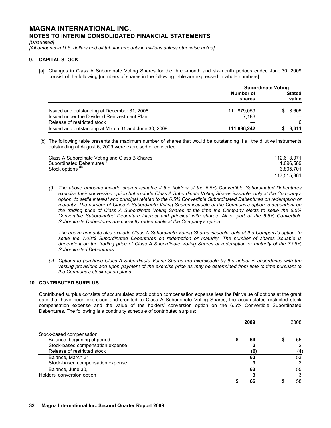*[Unaudited]* 

[All amounts in U.S. dollars and all tabular amounts in millions unless otherwise noted]

### **9. CAPITAL STOCK**

[a] Changes in Class A Subordinate Voting Shares for the three-month and six-month periods ended June 30, 2009 consist of the following [numbers of shares in the following table are expressed in whole numbers]:

|                                                      | <b>Subordinate Voting</b> |                        |       |  |
|------------------------------------------------------|---------------------------|------------------------|-------|--|
|                                                      | Number of<br>shares       | <b>Stated</b><br>value |       |  |
| Issued and outstanding at December 31, 2008          | 111,879,059               | SS.                    | 3,605 |  |
| Issued under the Dividend Reinvestment Plan          | 7.183                     |                        |       |  |
| Release of restricted stock                          |                           |                        | 6     |  |
| Issued and outstanding at March 31 and June 30, 2009 | 111,886,242               |                        | 3.611 |  |

 [b] The following table presents the maximum number of shares that would be outstanding if all the dilutive instruments outstanding at August 6, 2009 were exercised or converted:

| Class A Subordinate Voting and Class B Shares | 112.613.071 |
|-----------------------------------------------|-------------|
| Subordinated Debentures (1)                   | 1.096.589   |
| Stock options <sup>(ii)</sup>                 | 3.805.701   |
|                                               | 117.515.361 |

*(i) The above amounts include shares issuable if the holders of the 6.5% Convertible Subordinated Debentures exercise their conversion option but exclude Class A Subordinate Voting Shares issuable, only at the Company's option, to settle interest and principal related to the 6.5% Convertible Subordinated Debentures on redemption or maturity. The number of Class A Subordinate Voting Shares issuable at the Company's option is dependent on the trading price of Class A Subordinate Voting Shares at the time the Company elects to settle the 6.5% Convertible Subordinated Debenture interest and principal with shares. All or part of the 6.5% Convertible Subordinate Debentures are currently redeemable at the Company's option.* 

 *The above amounts also exclude Class A Subordinate Voting Shares issuable, only at the Company's option, to settle the 7.08% Subordinated Debentures on redemption or maturity. The number of shares issuable is dependent on the trading price of Class A Subordinate Voting Shares at redemption or maturity of the 7.08% Subordinated Debentures.* 

*(ii) Options to purchase Class A Subordinate Voting Shares are exercisable by the holder in accordance with the vesting provisions and upon payment of the exercise price as may be determined from time to time pursuant to the Company's stock option plans.* 

# **10. CONTRIBUTED SURPLUS**

Contributed surplus consists of accumulated stock option compensation expense less the fair value of options at the grant date that have been exercised and credited to Class A Subordinate Voting Shares, the accumulated restricted stock compensation expense and the value of the holders' conversion option on the 6.5% Convertible Subordinated Debentures. The following is a continuity schedule of contributed surplus:

|                                  | 2009 | 2008 |
|----------------------------------|------|------|
| Stock-based compensation         |      |      |
| Balance, beginning of period     | 64   | 55   |
| Stock-based compensation expense |      |      |
| Release of restricted stock      | (6)  | (4)  |
| Balance, March 31,               | 60   | 53   |
| Stock-based compensation expense |      |      |
| Balance, June 30,                | 63   | 55   |
| Holders' conversion option       |      |      |
|                                  | 66   | 58   |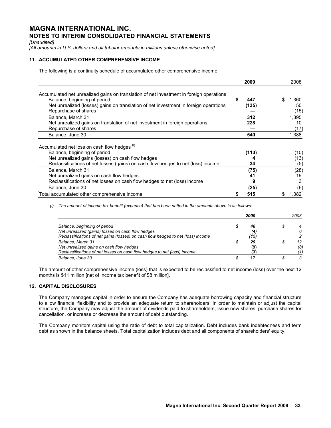*[Unaudited]* 

[All amounts in U.S. dollars and all tabular amounts in millions unless otherwise noted]

# **11. ACCUMULATED OTHER COMPREHENSIVE INCOME**

The following is a continuity schedule of accumulated other comprehensive income:

|                                                                                                                                                                                                                                         | 2009              | 2008                     |
|-----------------------------------------------------------------------------------------------------------------------------------------------------------------------------------------------------------------------------------------|-------------------|--------------------------|
| Accumulated net unrealized gains on translation of net investment in foreign operations<br>Balance, beginning of period<br>Net unrealized (losses) gains on translation of net investment in foreign operations<br>Repurchase of shares | S<br>447<br>(135) | 1,360<br>S<br>50<br>(15) |
| Balance, March 31<br>Net unrealized gains on translation of net investment in foreign operations                                                                                                                                        | 312<br>228        | 1.395<br>10              |
| Repurchase of shares<br>Balance, June 30                                                                                                                                                                                                | 540               | (17)<br>1,388            |
| Accumulated net loss on cash flow hedges (1)<br>Balance, beginning of period                                                                                                                                                            | (113)             | (10)                     |
| Net unrealized gains (losses) on cash flow hedges<br>Reclassifications of net losses (gains) on cash flow hedges to net (loss) income                                                                                                   | 34                | (13)<br>(5)              |
| Balance, March 31<br>Net unrealized gains on cash flow hedges<br>Reclassifications of net losses on cash flow hedges to net (loss) income                                                                                               | (75)<br>41<br>9   | (28)<br>19<br>3          |
| Balance, June 30<br>Total accumulated other comprehensive income                                                                                                                                                                        | (25)<br>515       | (6)<br>1.382             |
|                                                                                                                                                                                                                                         |                   |                          |

 *(i) The amount of income tax benefit (expense) that has been netted in the amounts above is as follows:* 

|                                                                                  | 2009 | 2008 |
|----------------------------------------------------------------------------------|------|------|
| Balance, beginning of period                                                     | 48   |      |
| Net unrealized (gains) losses on cash flow hedges                                | (4)  |      |
| Reclassifications of net gains (losses) on cash flow hedges to net (loss) income | '15) |      |
| Balance, March 31                                                                | 29   | 12   |
| Net unrealized gains on cash flow hedges                                         | (9)  | (8)  |
| Reclassifications of net losses on cash flow hedges to net (loss) income         |      |      |
| Balance, June 30                                                                 |      |      |

The amount of other comprehensive income (loss) that is expected to be reclassified to net income (loss) over the next 12 months is \$11 million [net of income tax benefit of \$8 million].

# **12. CAPITAL DISCLOSURES**

The Company manages capital in order to ensure the Company has adequate borrowing capacity and financial structure to allow financial flexibility and to provide an adequate return to shareholders. In order to maintain or adjust the capital structure, the Company may adjust the amount of dividends paid to shareholders, issue new shares, purchase shares for cancellation, or increase or decrease the amount of debt outstanding.

The Company monitors capital using the ratio of debt to total capitalization. Debt includes bank indebtedness and term debt as shown in the balance sheets. Total capitalization includes debt and all components of shareholders' equity.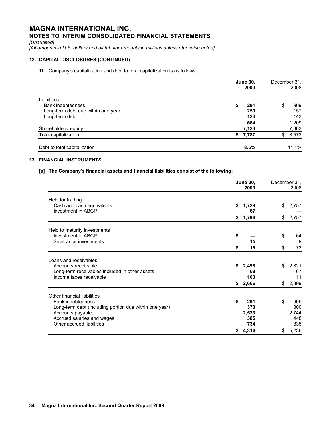*[Unaudited]* 

*[All amounts in U.S. dollars and all tabular amounts in millions unless otherwise noted]* 

# **12. CAPITAL DISCLOSURES (CONTINUED)**

The Company's capitalization and debt to total capitalization is as follows:

|                                    | <b>June 30,</b><br>2009 | December 31,<br>2008 |
|------------------------------------|-------------------------|----------------------|
| Liabilities                        |                         |                      |
| Bank indebtedness                  | \$<br>291               | 909<br>\$            |
| Long-term debt due within one year | 250                     | 157                  |
| Long-term debt                     | 123                     | 143                  |
|                                    | 664                     | 1,209                |
| Shareholders' equity               | 7,123                   | 7,363                |
| Total capitalization               | \$7,787                 | 8,572<br>\$          |
| Debt to total capitalization       | 8.5%                    | 14.1%                |

# **13. FINANCIAL INSTRUMENTS**

# **[a] The Company's financial assets and financial liabilities consist of the following:**

|                                                        | <b>June 30,</b><br>2009 | December 31, | 2008            |
|--------------------------------------------------------|-------------------------|--------------|-----------------|
| Held for trading                                       |                         |              |                 |
| Cash and cash equivalents<br>Investment in ABCP        | \$<br>1,729<br>67       | \$           | 2,757           |
|                                                        | \$<br>1,796             | \$           | 2,757           |
| Held to maturity investments                           |                         |              |                 |
| Investment in ABCP                                     | \$                      | \$           | 64              |
| Severance investments                                  | 15                      |              | 9               |
|                                                        | \$<br>15                | \$           | $\overline{73}$ |
| Loans and receivables                                  |                         |              |                 |
| Accounts receivable                                    | \$<br>2,498             | \$           | 2,821           |
| Long-term receivables included in other assets         | 68                      |              | 67              |
| Income taxes receivable                                | 100                     |              | 11              |
|                                                        | \$<br>2,666             | \$           | 2,899           |
| Other financial liabilities                            |                         |              |                 |
| <b>Bank indebtedness</b>                               | \$<br>291               | \$           | 909             |
| Long-term debt (including portion due within one year) | 373                     |              | 300             |
| Accounts payable                                       | 2,533                   |              | 2,744           |
| Accrued salaries and wages                             | 385                     |              | 448             |
| Other accrued liabilities                              | 734                     |              | 835             |
|                                                        | \$<br>4,316             | \$           | 5,236           |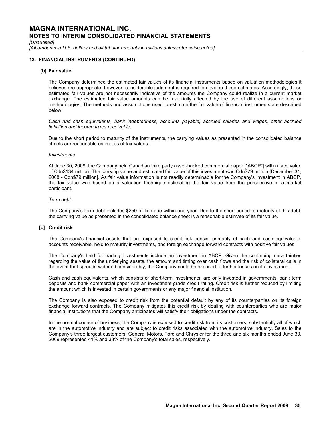*[Unaudited]* 

[All amounts in U.S. dollars and all tabular amounts in millions unless otherwise noted]

### **13. FINANCIAL INSTRUMENTS (CONTINUED)**

### **[b] Fair value**

The Company determined the estimated fair values of its financial instruments based on valuation methodologies it believes are appropriate; however, considerable judgment is required to develop these estimates. Accordingly, these estimated fair values are not necessarily indicative of the amounts the Company could realize in a current market exchange. The estimated fair value amounts can be materially affected by the use of different assumptions or methodologies. The methods and assumptions used to estimate the fair value of financial instruments are described below:

*Cash and cash equivalents, bank indebtedness, accounts payable, accrued salaries and wages, other accrued liabilities and income taxes receivable.* 

Due to the short period to maturity of the instruments, the carrying values as presented in the consolidated balance sheets are reasonable estimates of fair values.

#### *Investments*

At June 30, 2009, the Company held Canadian third party asset-backed commercial paper ["ABCP"] with a face value of Cdn\$134 million. The carrying value and estimated fair value of this investment was Cdn\$79 million [December 31, 2008 - Cdn\$79 million]. As fair value information is not readily determinable for the Company's investment in ABCP, the fair value was based on a valuation technique estimating the fair value from the perspective of a market participant.

### *Term debt*

The Company's term debt includes \$250 million due within one year. Due to the short period to maturity of this debt, the carrying value as presented in the consolidated balance sheet is a reasonable estimate of its fair value.

### **[c] Credit risk**

The Company's financial assets that are exposed to credit risk consist primarily of cash and cash equivalents, accounts receivable, held to maturity investments, and foreign exchange forward contracts with positive fair values.

The Company's held for trading investments include an investment in ABCP. Given the continuing uncertainties regarding the value of the underlying assets, the amount and timing over cash flows and the risk of collateral calls in the event that spreads widened considerably, the Company could be exposed to further losses on its investment.

Cash and cash equivalents, which consists of short-term investments, are only invested in governments, bank term deposits and bank commercial paper with an investment grade credit rating. Credit risk is further reduced by limiting the amount which is invested in certain governments or any major financial institution.

The Company is also exposed to credit risk from the potential default by any of its counterparties on its foreign exchange forward contracts. The Company mitigates this credit risk by dealing with counterparties who are major financial institutions that the Company anticipates will satisfy their obligations under the contracts.

In the normal course of business, the Company is exposed to credit risk from its customers, substantially all of which are in the automotive industry and are subject to credit risks associated with the automotive industry. Sales to the Company's three largest customers, General Motors, Ford and Chrysler for the three and six months ended June 30, 2009 represented 41% and 38% of the Company's total sales, respectively.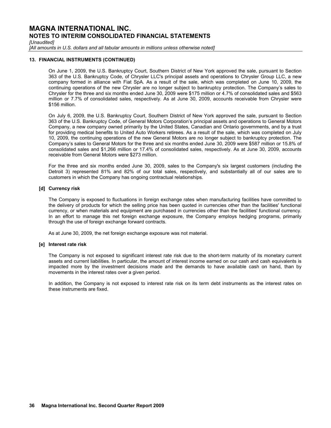*[Unaudited]* 

[All amounts in U.S. dollars and all tabular amounts in millions unless otherwise noted]

### **13. FINANCIAL INSTRUMENTS (CONTINUED)**

On June 1, 2009, the U.S. Bankruptcy Court, Southern District of New York approved the sale, pursuant to Section 363 of the U.S. Bankruptcy Code, of Chrysler LLC's principal assets and operations to Chrysler Group LLC, a new company formed in alliance with Fiat SpA. As a result of the sale, which was completed on June 10, 2009, the continuing operations of the new Chrysler are no longer subject to bankruptcy protection. The Company's sales to Chrysler for the three and six months ended June 30, 2009 were \$175 million or 4.7% of consolidated sales and \$563 million or 7.7% of consolidated sales, respectively. As at June 30, 2009, accounts receivable from Chrysler were \$156 million.

On July 6, 2009, the U.S. Bankruptcy Court, Southern District of New York approved the sale, pursuant to Section 363 of the U.S. Bankruptcy Code, of General Motors Corporation's principal assets and operations to General Motors Company, a new company owned primarily by the United States, Canadian and Ontario governments, and by a trust for providing medical benefits to United Auto Workers retirees. As a result of the sale, which was completed on July 10, 2009, the continuing operations of the new General Motors are no longer subject to bankruptcy protection. The Company's sales to General Motors for the three and six months ended June 30, 2009 were \$587 million or 15.8% of consolidated sales and \$1,266 million or 17.4% of consolidated sales, respectively. As at June 30, 2009, accounts receivable from General Motors were \$273 million.

For the three and six months ended June 30, 2009, sales to the Company's six largest customers (including the Detroit 3) represented 81% and 82% of our total sales, respectively, and substantially all of our sales are to customers in which the Company has ongoing contractual relationships.

### **[d] Currency risk**

The Company is exposed to fluctuations in foreign exchange rates when manufacturing facilities have committed to the delivery of products for which the selling price has been quoted in currencies other than the facilities' functional currency, or when materials and equipment are purchased in currencies other than the facilities' functional currency. In an effort to manage this net foreign exchange exposure, the Company employs hedging programs, primarily through the use of foreign exchange forward contracts.

As at June 30, 2009, the net foreign exchange exposure was not material.

### **[e] Interest rate risk**

The Company is not exposed to significant interest rate risk due to the short-term maturity of its monetary current assets and current liabilities. In particular, the amount of interest income earned on our cash and cash equivalents is impacted more by the investment decisions made and the demands to have available cash on hand, than by movements in the interest rates over a given period.

In addition, the Company is not exposed to interest rate risk on its term debt instruments as the interest rates on these instruments are fixed.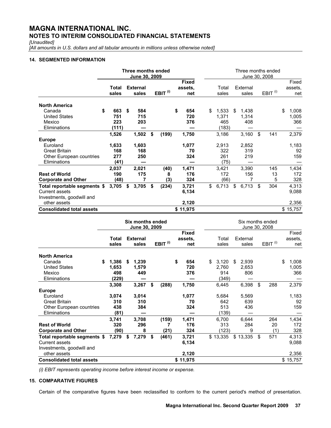*[Unaudited]* 

*[All amounts in U.S. dollars and all tabular amounts in millions unless otherwise noted]* 

# **14. SEGMENTED INFORMATION**

|                                                                                                    |                                          | Three months ended<br>June 30, 2009            |    |                                |                     |                     |                                |                                                               |    |                                                   |                   | Three months ended<br>June 30, 2008 |                     |                       |                         |                                |  |  |  |  |  |  |
|----------------------------------------------------------------------------------------------------|------------------------------------------|------------------------------------------------|----|--------------------------------|---------------------|---------------------|--------------------------------|---------------------------------------------------------------|----|---------------------------------------------------|-------------------|-------------------------------------|---------------------|-----------------------|-------------------------|--------------------------------|--|--|--|--|--|--|
|                                                                                                    |                                          | Total<br>sales                                 |    | <b>External</b><br>sales       | EBIT <sup>(i)</sup> |                     | <b>Fixed</b><br>assets.<br>net |                                                               |    | Total<br>sales                                    | External<br>sales |                                     | EBIT <sup>(i)</sup> |                       | Fixed<br>assets.<br>net |                                |  |  |  |  |  |  |
| <b>North America</b><br>Canada<br><b>United States</b><br>Mexico                                   | \$                                       | 663<br>751<br>223                              | \$ | 584<br>715<br>203              |                     |                     | \$                             | 654<br>720<br>376                                             | \$ | 1,533<br>1,371<br>465                             | \$                | 1,438<br>1,314<br>408               |                     |                       | \$                      | 1.008<br>1,005<br>366          |  |  |  |  |  |  |
| Eliminations                                                                                       |                                          | (111)                                          |    |                                |                     |                     |                                |                                                               |    | (183)                                             |                   |                                     |                     |                       |                         |                                |  |  |  |  |  |  |
| <b>Europe</b><br>Euroland<br><b>Great Britain</b><br>Other European countries<br>Eliminations      |                                          | 1,526<br>1,633<br>168<br>277<br>(41)           |    | 1,502<br>1,603<br>168<br>250   | \$                  | (199)               |                                | 1,750<br>1,077<br>70<br>324                                   |    | 3,186<br>2,913<br>322<br>261<br>(75)              |                   | 3,160<br>2,852<br>319<br>219        | \$                  | 141                   |                         | 2,379<br>1,183<br>92<br>159    |  |  |  |  |  |  |
| <b>Rest of World</b><br><b>Corporate and Other</b>                                                 |                                          | 2,037<br>190<br>(48)                           |    | 2,021<br>175<br>7              |                     | (40)<br>8<br>(3)    |                                | 1,471<br>176<br>324                                           |    | 3,421<br>172<br>(66)                              |                   | 3,390<br>156<br>7                   |                     | 145<br>13<br>5        |                         | 1,434<br>172<br>328            |  |  |  |  |  |  |
| Total reportable segments \$<br><b>Current assets</b><br>Investments, goodwill and<br>other assets |                                          | 3,705                                          | \$ | 3,705                          | \$                  | (234)               |                                | 3,721<br>6,134<br>2,120                                       | \$ | 6,713                                             | \$                | 6,713                               | \$                  | 304                   |                         | 4,313<br>9,088<br>2,356        |  |  |  |  |  |  |
| <b>Consolidated total assets</b>                                                                   |                                          |                                                |    |                                |                     |                     |                                | \$11,975                                                      |    |                                                   |                   |                                     |                     |                       |                         | \$15,757                       |  |  |  |  |  |  |
|                                                                                                    | <b>Six months ended</b><br>June 30, 2009 |                                                |    |                                |                     |                     |                                |                                                               |    | Six months ended<br>June 30, 2008                 |                   |                                     |                     |                       |                         |                                |  |  |  |  |  |  |
|                                                                                                    |                                          | <b>Total</b><br>sales                          |    | <b>External</b><br>sales       |                     | EBIT <sup>(i)</sup> |                                | <b>Fixed</b><br>assets,<br>net                                |    | Total<br>sales                                    |                   | External<br>sales                   |                     | $EBIT$ <sup>(i)</sup> |                         | Fixed<br>assets.<br>net        |  |  |  |  |  |  |
| <b>North America</b><br>Canada<br><b>United States</b><br>Mexico<br>Eliminations                   | \$                                       | 1,386<br>1,653<br>498<br>(229)<br><b>3 3UB</b> | \$ | 1,239<br>1,579<br>449<br>2.257 | ¢                   | 12001               | \$                             | 654<br>720<br>376<br>$\overline{\phantom{0}}$<br><b>4 750</b> | \$ | 3,120<br>2,760<br>914<br>(349)<br>$G$ $A$ $A$ $F$ | \$                | 2,939<br>2,653<br>806<br>G 200      | ¢                   | 200                   | \$                      | 1,008<br>1,005<br>366<br>הדר מ |  |  |  |  |  |  |

| NOTIN AMERICA                    |             |    |       |      |       |           |             |             |           |             |
|----------------------------------|-------------|----|-------|------|-------|-----------|-------------|-------------|-----------|-------------|
| Canada                           | \$<br>1,386 | S  | 1,239 |      |       | \$<br>654 | \$<br>3,120 | \$<br>2,939 |           | \$<br>1,008 |
| <b>United States</b>             | 1,653       |    | 1,579 |      |       | 720       | 2,760       | 2,653       |           | 1,005       |
| Mexico                           | 498         |    | 449   |      |       | 376       | 914         | 806         |           | 366         |
| Eliminations                     | (229)       |    |       |      |       |           | (349)       |             |           |             |
|                                  | 3,308       |    | 3,267 | \$   | (288) | 1,750     | 6,445       | 6,398       | \$<br>288 | 2,379       |
| <b>Europe</b>                    |             |    |       |      |       |           |             |             |           |             |
| Euroland                         | 3,074       |    | 3,014 |      |       | 1,077     | 5,684       | 5,569       |           | 1,183       |
| <b>Great Britain</b>             | 310         |    | 310   |      |       | 70        | 642         | 639         |           | 92          |
| Other European countries         | 438         |    | 384   |      |       | 324       | 513         | 436         |           | 159         |
| Eliminations                     | (81)        |    |       |      |       |           | (139)       |             |           |             |
|                                  | 3,741       |    | 3,708 |      | (159) | 1,471     | 6.700       | 6.644       | 264       | 1,434       |
| <b>Rest of World</b>             | 320         |    | 296   |      |       | 176       | 313         | 284         | 20        | 172         |
| <b>Corporate and Other</b>       | (90)        |    | 8     |      | (21)  | 324       | (123)       | 9           | (1)       | 328         |
| Total reportable segments \$     | 7,279       | \$ | 7,279 | - \$ | (461) | 3,721     | \$13,335    | \$13,335    | \$<br>571 | 4,313       |
| Current assets                   |             |    |       |      |       | 6,134     |             |             |           | 9,088       |
| Investments, goodwill and        |             |    |       |      |       |           |             |             |           |             |
| other assets                     |             |    |       |      |       | 2,120     |             |             |           | 2,356       |
| <b>Consolidated total assets</b> |             |    |       |      |       | \$11,975  |             |             |           | \$15,757    |

*(i) EBIT represents operating income before interest income or expense.* 

# **15. COMPARATIVE FIGURES**

Certain of the comparative figures have been reclassified to conform to the current period's method of presentation.